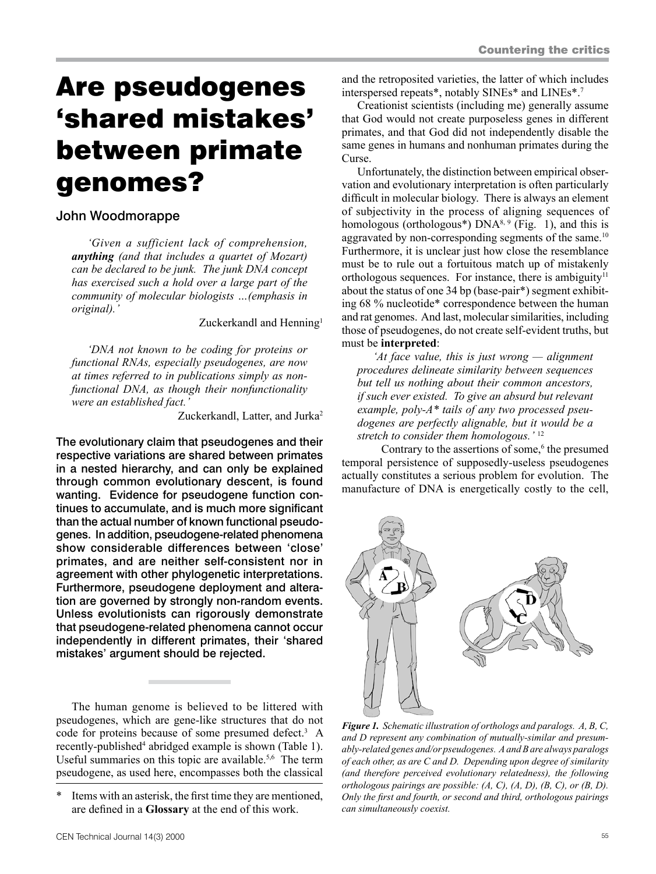# Are pseudogenes 'shared mistakes' between primate genomes?

# John Woodmorappe

*'Given a sufficient lack of comprehension, anything (and that includes a quartet of Mozart) can be declared to be junk. The junk DNA concept has exercised such a hold over a large part of the community of molecular biologists …(emphasis in original).'*

Zuckerkandl and Henning<sup>1</sup>

*'DNA not known to be coding for proteins or functional RNAs, especially pseudogenes, are now at times referred to in publications simply as nonfunctional DNA, as though their nonfunctionality were an established fact.'*

Zuckerkandl, Latter, and Jurka<sup>2</sup>

The evolutionary claim that pseudogenes and their respective variations are shared between primates in a nested hierarchy, and can only be explained through common evolutionary descent, is found wanting. Evidence for pseudogene function continues to accumulate, and is much more significant than the actual number of known functional pseudogenes. In addition, pseudogene-related phenomena show considerable differences between 'close' primates, and are neither self-consistent nor in agreement with other phylogenetic interpretations. Furthermore, pseudogene deployment and alteration are governed by strongly non-random events. Unless evolutionists can rigorously demonstrate that pseudogene-related phenomena cannot occur independently in different primates, their 'shared mistakes' argument should be rejected.

The human genome is believed to be littered with pseudogenes, which are gene-like structures that do not code for proteins because of some presumed defect.<sup>3</sup> A recently-published<sup>4</sup> abridged example is shown (Table 1). Useful summaries on this topic are available.<sup>5,6</sup> The term pseudogene, as used here, encompasses both the classical

and the retroposited varieties, the latter of which includes interspersed repeats\*, notably SINEs\* and LINEs\*.7

Creationist scientists (including me) generally assume that God would not create purposeless genes in different primates, and that God did not independently disable the same genes in humans and nonhuman primates during the Curse.

Unfortunately, the distinction between empirical observation and evolutionary interpretation is often particularly difficult in molecular biology. There is always an element of subjectivity in the process of aligning sequences of homologous (orthologous<sup>\*</sup>)  $DNA<sup>8, 9</sup>$  (Fig. 1), and this is aggravated by non-corresponding segments of the same.<sup>10</sup> Furthermore, it is unclear just how close the resemblance must be to rule out a fortuitous match up of mistakenly orthologous sequences. For instance, there is ambiguity<sup>11</sup> about the status of one 34 bp (base-pair\*) segment exhibiting 68 % nucleotide\* correspondence between the human and rat genomes. And last, molecular similarities, including those of pseudogenes, do not create self-evident truths, but must be **interpreted**:

*'At face value, this is just wrong — alignment procedures delineate similarity between sequences but tell us nothing about their common ancestors, if such ever existed. To give an absurd but relevant example, poly-A\* tails of any two processed pseudogenes are perfectly alignable, but it would be a stretch to consider them homologous.'* <sup>12</sup>

Contrary to the assertions of some,<sup>6</sup> the presumed temporal persistence of supposedly-useless pseudogenes actually constitutes a serious problem for evolution. The manufacture of DNA is energetically costly to the cell,



*Figure 1. Schematic illustration of orthologs and paralogs. A, B, C, and D represent any combination of mutually-similar and presumably-related genes and/or pseudogenes. A and B are always paralogs of each other, as are C and D. Depending upon degree of similarity (and therefore perceived evolutionary relatedness), the following orthologous pairings are possible: (A, C), (A, D), (B, C), or (B, D). Only the first and fourth, or second and third, orthologous pairings can simultaneously coexist.*

<sup>\*</sup> Items with an asterisk, the first time they are mentioned, are defined in a **Glossary** at the end of this work.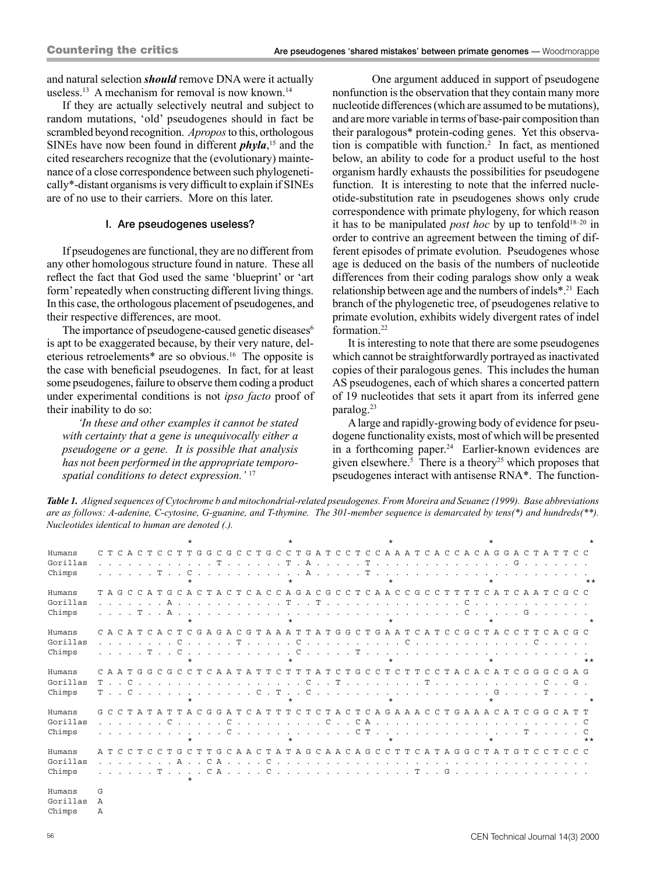and natural selection *should* remove DNA were it actually useless.<sup>13</sup> A mechanism for removal is now known.<sup>14</sup>

If they are actually selectively neutral and subject to random mutations, 'old' pseudogenes should in fact be scrambled beyond recognition. *Apropos* to this, orthologous SINEs have now been found in different *phyla*, <sup>15</sup> and the cited researchers recognize that the (evolutionary) maintenance of a close correspondence between such phylogenetically\*-distant organisms is very difficult to explain if SINEs are of no use to their carriers. More on this later.

#### I. Are pseudogenes useless?

If pseudogenes are functional, they are no different from any other homologous structure found in nature. These all reflect the fact that God used the same 'blueprint' or 'art form' repeatedly when constructing different living things. In this case, the orthologous placement of pseudogenes, and their respective differences, are moot.

The importance of pseudogene-caused genetic diseases<sup>6</sup> is apt to be exaggerated because, by their very nature, deleterious retroelements\* are so obvious.16 The opposite is the case with beneficial pseudogenes. In fact, for at least some pseudogenes, failure to observe them coding a product under experimental conditions is not *ipso facto* proof of their inability to do so:

*'In these and other examples it cannot be stated with certainty that a gene is unequivocally either a pseudogene or a gene. It is possible that analysis has not been performed in the appropriate temporospatial conditions to detect expression.'* <sup>17</sup>

One argument adduced in support of pseudogene nonfunction is the observation that they contain many more nucleotide differences (which are assumed to be mutations), and are more variable in terms of base-pair composition than their paralogous\* protein-coding genes. Yet this observation is compatible with function.2 In fact, as mentioned below, an ability to code for a product useful to the host organism hardly exhausts the possibilities for pseudogene function. It is interesting to note that the inferred nucleotide-substitution rate in pseudogenes shows only crude correspondence with primate phylogeny, for which reason it has to be manipulated *post hoc* by up to tenfold18–20 in order to contrive an agreement between the timing of different episodes of primate evolution. Pseudogenes whose age is deduced on the basis of the numbers of nucleotide differences from their coding paralogs show only a weak relationship between age and the numbers of indels\*.21 Each branch of the phylogenetic tree, of pseudogenes relative to primate evolution, exhibits widely divergent rates of indel formation.22

It is interesting to note that there are some pseudogenes which cannot be straightforwardly portrayed as inactivated copies of their paralogous genes. This includes the human AS pseudogenes, each of which shares a concerted pattern of 19 nucleotides that sets it apart from its inferred gene paralog.23

A large and rapidly-growing body of evidence for pseudogene functionality exists, most of which will be presented in a forthcoming paper.<sup>24</sup> Earlier-known evidences are given elsewhere.<sup>5</sup> There is a theory<sup>25</sup> which proposes that pseudogenes interact with antisense RNA\*. The function-

*Table 1. Aligned sequences of Cytochrome b and mitochondrial-related pseudogenes. From Moreira and Seuanez (1999). Base abbreviations are as follows: A-adenine, C-cytosine, G-guanine, and T-thymine. The 301-member sequence is demarcated by tens(\*) and hundreds(\*\*). Nucleotides identical to human are denoted (.).*

|                              |                          |     |                                     |  |               |                | $\star$ |              |                       |          |                                         |                                     |               |   | $\star$      |               |                                                                               |               |               |     |          | $\star$ |                               |              |               |                                                                                                                       |   |        | $\star$  |  |   |   |              |                                 |       |
|------------------------------|--------------------------|-----|-------------------------------------|--|---------------|----------------|---------|--------------|-----------------------|----------|-----------------------------------------|-------------------------------------|---------------|---|--------------|---------------|-------------------------------------------------------------------------------|---------------|---------------|-----|----------|---------|-------------------------------|--------------|---------------|-----------------------------------------------------------------------------------------------------------------------|---|--------|----------|--|---|---|--------------|---------------------------------|-------|
| Humans                       |                          |     |                                     |  |               |                |         | CTCACTCCTTGG |                       |          | C G C                                   | C T                                 |               |   |              |               | G C C T G A T                                                                 | $\mathcal{C}$ |               | C T | $\Gamma$ |         |                               |              |               | CAAATCACCACAGGACTATTCC                                                                                                |   |        |          |  |   |   |              |                                 |       |
| Gorillas                     |                          |     |                                     |  |               |                |         |              |                       |          |                                         |                                     |               |   |              |               | A.,                                                                           |               | $\sim$ $\sim$ |     | T        |         |                               |              |               | and the company of the company of the                                                                                 |   |        |          |  | G |   |              |                                 |       |
| Chimps                       |                          |     | $\ldots$ T                          |  | $\sim$ $\sim$ |                |         |              |                       |          |                                         |                                     |               |   | $\star$      |               | A.                                                                            |               |               |     | T        | $\star$ |                               |              |               |                                                                                                                       |   |        | $\star$  |  |   |   |              |                                 | $* *$ |
| Humans                       |                          |     | TAGCCATG                            |  |               |                |         | C A C T      |                       |          | A C T                                   | $C$ $A$                             | $\mathcal{C}$ |   |              |               | CAGACGCCT                                                                     |               |               |     |          |         | CAACCG                        |              | $\mathcal{C}$ | T                                                                                                                     | T | T.     | C A T    |  |   |   |              | CAATCGCC                        |       |
| Gorillas                     |                          |     |                                     |  | $\Delta$      |                |         |              |                       |          | <b><i>Command Command Command T</i></b> |                                     |               |   |              |               | $\cdot$ $\cdot$ T                                                             |               |               |     |          |         | and a straight and a straight |              |               |                                                                                                                       | C | $\sim$ |          |  |   |   |              |                                 |       |
| Chimps                       |                          |     | $T \cdot A$                         |  |               |                | $\star$ |              |                       |          |                                         |                                     |               |   | $\star$      |               | de la carra de la carra de la carra de la carra de                            |               |               |     |          | $\star$ |                               |              |               |                                                                                                                       | C |        | $^\star$ |  |   | G |              |                                 |       |
| Humans                       |                          |     | CACATCACT                           |  |               |                |         |              |                       |          |                                         |                                     |               |   |              |               | CGAGACGTAAATTATGGCTGAATCATCCGCTACCTTCACGC                                     |               |               |     |          |         |                               |              |               |                                                                                                                       |   |        |          |  |   |   |              |                                 |       |
| Gorillas                     |                          |     | and a series of the series of the   |  |               | $\mathcal{C}$  |         |              | $\ldots$ . $\ldots$ T |          |                                         | . C                                 |               |   |              |               | and a straight and a straight and                                             |               |               |     |          |         |                               | $\mathsf{C}$ |               | $\mathbf{r}$ , $\mathbf{r}$ , $\mathbf{r}$ , $\mathbf{r}$ , $\mathbf{r}$ , $\mathbf{r}$ , $\mathbf{r}$ , $\mathbf{r}$ |   |        |          |  |   |   | $\mathsf{C}$ |                                 |       |
| Chimps                       |                          |     |                                     |  |               |                | ÷       |              |                       |          |                                         |                                     |               |   | $\star$      |               |                                                                               |               |               |     |          | $\star$ |                               |              |               |                                                                                                                       |   |        | $\star$  |  |   |   |              |                                 | $***$ |
| Humans                       |                          |     |                                     |  |               |                |         |              | CAATGGCGCCTCAATATTCT  |          |                                         |                                     |               |   |              | T.            | T A T                                                                         |               | C T G C       |     |          |         | C T C T T                     |              |               | CCTACACATCGGGCGAG                                                                                                     |   |        |          |  |   |   |              |                                 |       |
| Gorillas                     |                          |     |                                     |  |               |                |         |              |                       |          |                                         |                                     |               |   |              |               | $\mathsf{C}$                                                                  |               |               |     |          |         |                               |              |               |                                                                                                                       |   |        |          |  |   |   |              | $\cdot$ $\cdot$ $\cdot$ $\cdot$ |       |
| Chimps                       |                          |     | $T$ $C$                             |  |               |                |         |              |                       |          |                                         |                                     |               |   | $\star$      |               |                                                                               |               |               |     |          |         |                               |              |               |                                                                                                                       |   |        |          |  |   |   |              |                                 |       |
| Humans                       | $G$ $C$                  |     | C T A T A T                         |  |               |                | T A C   |              | $\mathsf{G}$          | G A      | T                                       | C A T                               |               | T | $\mathbb{T}$ | $\mathcal{C}$ | T<br>$\Gamma$                                                                 |               | TACT          |     |          |         |                               |              |               | CAGAAACCTGAAACATCGGCATT                                                                                               |   |        |          |  |   |   |              |                                 |       |
| Gorillas                     |                          |     | $\ldots$ $\ldots$ $\ldots$ $\ldots$ |  |               |                |         |              |                       | $\Gamma$ |                                         |                                     |               |   |              |               |                                                                               |               |               |     |          |         |                               |              |               |                                                                                                                       |   |        |          |  |   |   |              |                                 | C     |
| Chimps                       |                          |     | the contract of the contract of     |  |               |                |         |              |                       |          |                                         | the contract of the contract of the |               |   |              |               |                                                                               |               |               |     |          |         |                               |              |               |                                                                                                                       |   |        | $\star$  |  |   |   |              |                                 | $***$ |
| Humans                       |                          | A T | CCTCCT                              |  |               |                | G C T   |              | T                     |          |                                         |                                     |               |   |              |               | G C A A C T A T A G C A A C A G C C T T C A T A G G C T A T G T C C T C C C C |               |               |     |          |         |                               |              |               |                                                                                                                       |   |        |          |  |   |   |              |                                 |       |
| Gorillas                     |                          |     |                                     |  |               | $\overline{A}$ |         |              | $\mathcal{C}$         |          | $A \cdot \cdot \cdot$                   |                                     | C             |   |              |               |                                                                               |               |               |     |          |         |                               |              |               |                                                                                                                       |   |        |          |  |   |   |              |                                 |       |
| Chimps                       |                          |     |                                     |  |               |                |         |              | . . T C A C           |          |                                         |                                     |               |   |              |               |                                                                               |               |               |     |          |         |                               |              |               |                                                                                                                       |   |        |          |  |   |   |              |                                 |       |
| Humans<br>Gorillas<br>Chimps | G<br>$\overline{A}$<br>Α |     |                                     |  |               |                |         |              |                       |          |                                         |                                     |               |   |              |               |                                                                               |               |               |     |          |         |                               |              |               |                                                                                                                       |   |        |          |  |   |   |              |                                 |       |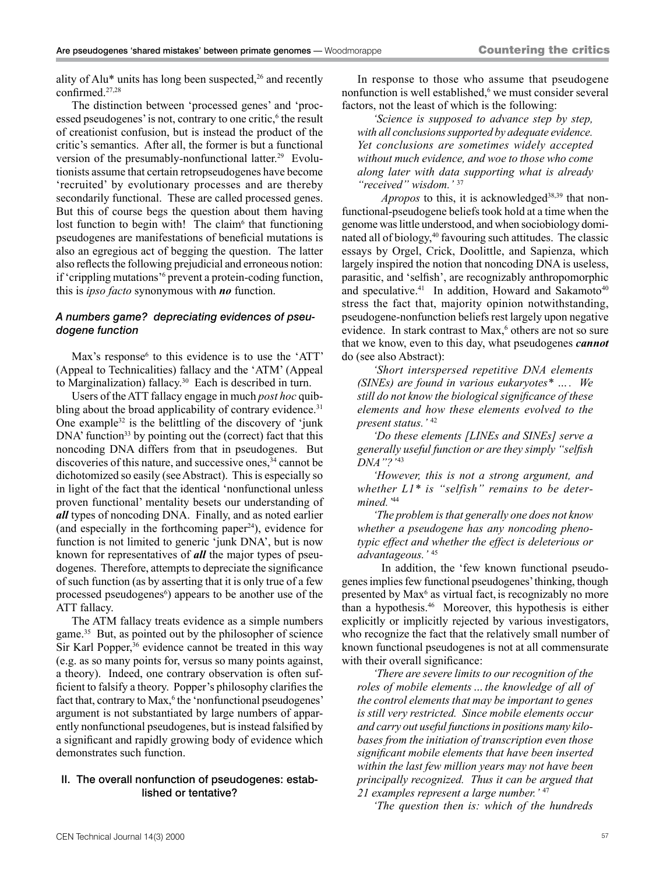ality of Alu\* units has long been suspected, $26$  and recently confirmed.27,28

The distinction between 'processed genes' and 'processed pseudogenes' is not, contrary to one critic,<sup>6</sup> the result of creationist confusion, but is instead the product of the critic's semantics. After all, the former is but a functional version of the presumably-nonfunctional latter.<sup>29</sup> Evolutionists assume that certain retropseudogenes have become 'recruited' by evolutionary processes and are thereby secondarily functional. These are called processed genes. But this of course begs the question about them having lost function to begin with! The claim<sup>6</sup> that functioning pseudogenes are manifestations of beneficial mutations is also an egregious act of begging the question. The latter also reflects the following prejudicial and erroneous notion: if 'crippling mutations'<sup>6</sup> prevent a protein-coding function, this is *ipso facto* synonymous with *no* function.

#### *A numbers game? depreciating evidences of pseudogene function*

Max's response $6$  to this evidence is to use the 'ATT' (Appeal to Technicalities) fallacy and the 'ATM' (Appeal to Marginalization) fallacy.<sup>30</sup> Each is described in turn.

Users of the ATT fallacy engage in much *post hoc* quibbling about the broad applicability of contrary evidence.<sup>31</sup> One example<sup>32</sup> is the belittling of the discovery of 'junk  $DNA'$  function<sup>33</sup> by pointing out the (correct) fact that this noncoding DNA differs from that in pseudogenes. But discoveries of this nature, and successive ones,<sup>34</sup> cannot be dichotomized so easily (see Abstract). This is especially so in light of the fact that the identical 'nonfunctional unless proven functional' mentality besets our understanding of *all* types of noncoding DNA. Finally, and as noted earlier (and especially in the forthcoming paper<sup>24</sup>), evidence for function is not limited to generic 'junk DNA', but is now known for representatives of *all* the major types of pseudogenes. Therefore, attempts to depreciate the significance of such function (as by asserting that it is only true of a few processed pseudogenes<sup>6</sup>) appears to be another use of the ATT fallacy.

The ATM fallacy treats evidence as a simple numbers game.35 But, as pointed out by the philosopher of science Sir Karl Popper,<sup>36</sup> evidence cannot be treated in this way (e.g. as so many points for, versus so many points against, a theory). Indeed, one contrary observation is often sufficient to falsify a theory. Popper's philosophy clarifies the fact that, contrary to Max,<sup>6</sup> the 'nonfunctional pseudogenes' argument is not substantiated by large numbers of apparently nonfunctional pseudogenes, but is instead falsified by a significant and rapidly growing body of evidence which demonstrates such function.

#### II. The overall nonfunction of pseudogenes: established or tentative?

In response to those who assume that pseudogene nonfunction is well established,<sup>6</sup> we must consider several factors, not the least of which is the following:

*'Science is supposed to advance step by step, with all conclusions supported by adequate evidence. Yet conclusions are sometimes widely accepted without much evidence, and woe to those who come along later with data supporting what is already "received" wisdom.'* <sup>37</sup>

*Apropos* to this, it is acknowledged<sup>38,39</sup> that nonfunctional-pseudogene beliefs took hold at a time when the genome was little understood, and when sociobiology dominated all of biology,<sup>40</sup> favouring such attitudes. The classic essays by Orgel, Crick, Doolittle, and Sapienza, which largely inspired the notion that noncoding DNA is useless, parasitic, and 'selfish', are recognizably anthropomorphic and speculative.<sup>41</sup> In addition, Howard and Sakamoto<sup>40</sup> stress the fact that, majority opinion notwithstanding, pseudogene-nonfunction beliefs rest largely upon negative evidence. In stark contrast to Max,<sup>6</sup> others are not so sure that we know, even to this day, what pseudogenes *cannot* do (see also Abstract):

*'Short interspersed repetitive DNA elements (SINEs) are found in various eukaryotes\* …. We still do not know the biological significance of these elements and how these elements evolved to the present status.'* <sup>42</sup>

*'Do these elements [LINEs and SINEs] serve a generally useful function or are they simply "selfish DNA"?'* <sup>43</sup>

*'However, this is not a strong argument, and whether L1\* is "selfish" remains to be determined.'*<sup>44</sup>

*'The problem is that generally one does not know whether a pseudogene has any noncoding phenotypic effect and whether the effect is deleterious or advantageous.'* <sup>45</sup>

In addition, the 'few known functional pseudogenes implies few functional pseudogenes' thinking, though presented by Max<sup>6</sup> as virtual fact, is recognizably no more than a hypothesis.46 Moreover, this hypothesis is either explicitly or implicitly rejected by various investigators, who recognize the fact that the relatively small number of known functional pseudogenes is not at all commensurate with their overall significance:

*'There are severe limits to our recognition of the roles of mobile elements…the knowledge of all of the control elements that may be important to genes is still very restricted. Since mobile elements occur and carry out useful functions in positions many kilobases from the initiation of transcription even those significant mobile elements that have been inserted within the last few million years may not have been principally recognized. Thus it can be argued that 21 examples represent a large number.'* <sup>47</sup>

*'The question then is: which of the hundreds*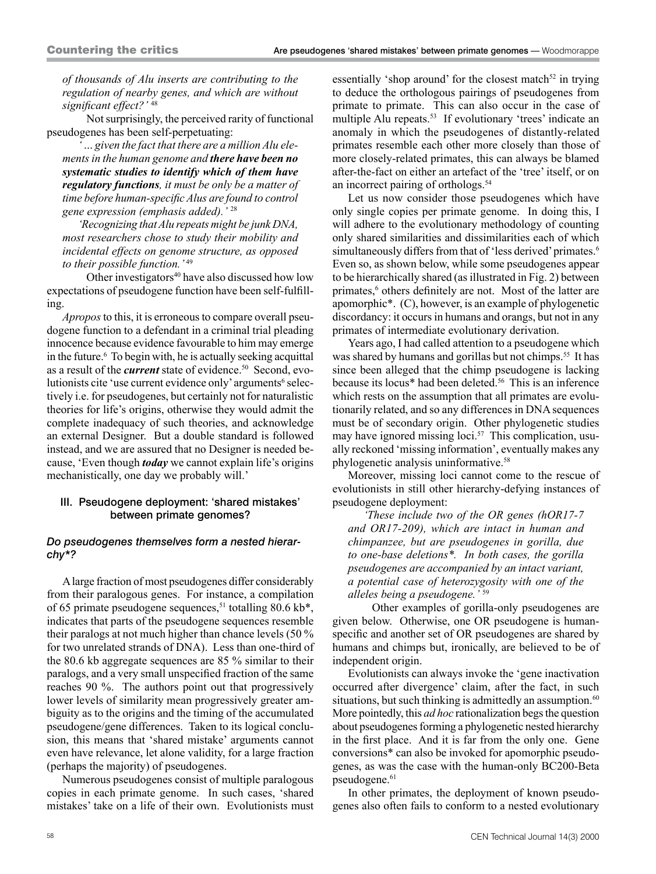*of thousands of Alu inserts are contributing to the regulation of nearby genes, and which are without significant effect?'* <sup>48</sup>

Not surprisingly, the perceived rarity of functional pseudogenes has been self-perpetuating:

*'…given the fact that there are a million Alu elements in the human genome and there have been no systematic studies to identify which of them have regulatory functions, it must be only be a matter of time before human-specific Alus are found to control gene expression (emphasis added).'* <sup>28</sup>

*'Recognizing that Alu repeats might be junk DNA, most researchers chose to study their mobility and incidental effects on genome structure, as opposed to their possible function.'* <sup>49</sup>

Other investigators<sup>40</sup> have also discussed how low expectations of pseudogene function have been self-fulfilling.

*Apropos* to this, it is erroneous to compare overall pseudogene function to a defendant in a criminal trial pleading innocence because evidence favourable to him may emerge in the future.6 To begin with, he is actually seeking acquittal as a result of the *current* state of evidence.<sup>50</sup> Second, evolutionists cite 'use current evidence only' arguments<sup>6</sup> selectively i.e. for pseudogenes, but certainly not for naturalistic theories for life's origins, otherwise they would admit the complete inadequacy of such theories, and acknowledge an external Designer. But a double standard is followed instead, and we are assured that no Designer is needed because, 'Even though *today* we cannot explain life's origins mechanistically, one day we probably will.'

#### III. Pseudogene deployment: 'shared mistakes' between primate genomes?

#### *Do pseudogenes themselves form a nested hierarchy\*?*

A large fraction of most pseudogenes differ considerably from their paralogous genes. For instance, a compilation of 65 primate pseudogene sequences,<sup>51</sup> totalling 80.6 kb<sup>\*</sup>, indicates that parts of the pseudogene sequences resemble their paralogs at not much higher than chance levels (50 % for two unrelated strands of DNA). Less than one-third of the 80.6 kb aggregate sequences are 85 % similar to their paralogs, and a very small unspecified fraction of the same reaches 90 %. The authors point out that progressively lower levels of similarity mean progressively greater ambiguity as to the origins and the timing of the accumulated pseudogene/gene differences. Taken to its logical conclusion, this means that 'shared mistake' arguments cannot even have relevance, let alone validity, for a large fraction (perhaps the majority) of pseudogenes.

Numerous pseudogenes consist of multiple paralogous copies in each primate genome. In such cases, 'shared mistakes' take on a life of their own. Evolutionists must essentially 'shop around' for the closest match<sup>52</sup> in trying to deduce the orthologous pairings of pseudogenes from primate to primate. This can also occur in the case of multiple Alu repeats.<sup>53</sup> If evolutionary 'trees' indicate an anomaly in which the pseudogenes of distantly-related primates resemble each other more closely than those of more closely-related primates, this can always be blamed after-the-fact on either an artefact of the 'tree' itself, or on an incorrect pairing of orthologs.<sup>54</sup>

Let us now consider those pseudogenes which have only single copies per primate genome. In doing this, I will adhere to the evolutionary methodology of counting only shared similarities and dissimilarities each of which simultaneously differs from that of 'less derived' primates.<sup>6</sup> Even so, as shown below, while some pseudogenes appear to be hierarchically shared (as illustrated in Fig. 2) between primates,<sup>6</sup> others definitely are not. Most of the latter are apomorphic\*. (C), however, is an example of phylogenetic discordancy: it occurs in humans and orangs, but not in any primates of intermediate evolutionary derivation.

Years ago, I had called attention to a pseudogene which was shared by humans and gorillas but not chimps.<sup>55</sup> It has since been alleged that the chimp pseudogene is lacking because its locus\* had been deleted.<sup>56</sup> This is an inference which rests on the assumption that all primates are evolutionarily related, and so any differences in DNA sequences must be of secondary origin. Other phylogenetic studies may have ignored missing loci.<sup>57</sup> This complication, usually reckoned 'missing information', eventually makes any phylogenetic analysis uninformative.58

Moreover, missing loci cannot come to the rescue of evolutionists in still other hierarchy-defying instances of pseudogene deployment:

*'These include two of the OR genes (hOR17-7 and OR17-209), which are intact in human and chimpanzee, but are pseudogenes in gorilla, due to one-base deletions\*. In both cases, the gorilla pseudogenes are accompanied by an intact variant, a potential case of heterozygosity with one of the alleles being a pseudogene.'* <sup>59</sup>

Other examples of gorilla-only pseudogenes are given below. Otherwise, one OR pseudogene is humanspecific and another set of OR pseudogenes are shared by humans and chimps but, ironically, are believed to be of independent origin.

Evolutionists can always invoke the 'gene inactivation occurred after divergence' claim, after the fact, in such situations, but such thinking is admittedly an assumption.<sup>60</sup> More pointedly, this *ad hoc* rationalization begs the question about pseudogenes forming a phylogenetic nested hierarchy in the first place. And it is far from the only one. Gene conversions\* can also be invoked for apomorphic pseudogenes, as was the case with the human-only BC200-Beta pseudogene.<sup>61</sup>

In other primates, the deployment of known pseudogenes also often fails to conform to a nested evolutionary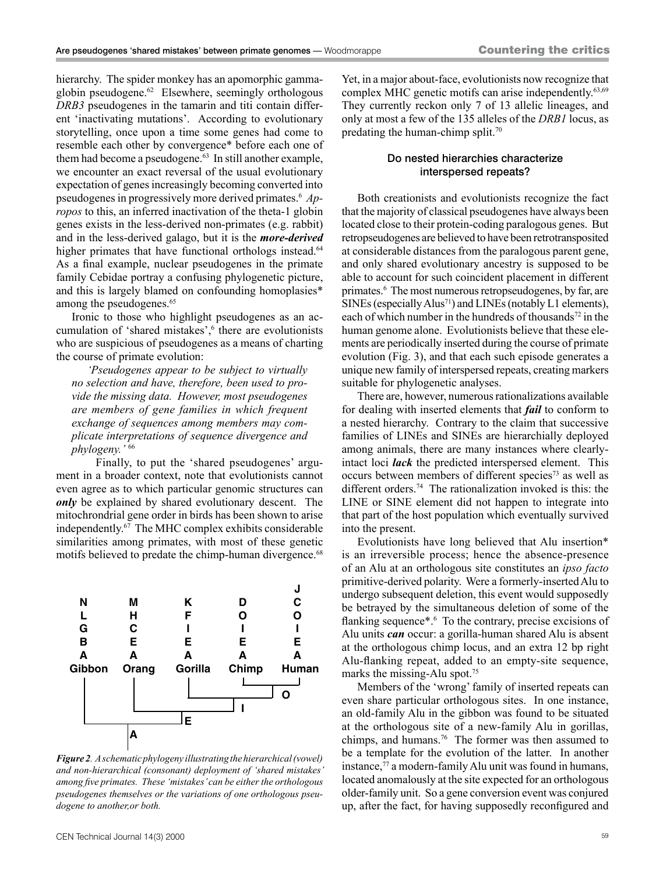hierarchy. The spider monkey has an apomorphic gammaglobin pseudogene.<sup>62</sup> Elsewhere, seemingly orthologous *DRB3* pseudogenes in the tamarin and titi contain different 'inactivating mutations'. According to evolutionary storytelling, once upon a time some genes had come to resemble each other by convergence\* before each one of them had become a pseudogene.<sup>63</sup> In still another example, we encounter an exact reversal of the usual evolutionary expectation of genes increasingly becoming converted into pseudogenes in progressively more derived primates.6 *Apropos* to this, an inferred inactivation of the theta-1 globin genes exists in the less-derived non-primates (e.g. rabbit) and in the less-derived galago, but it is the *more-derived* higher primates that have functional orthologs instead.<sup>64</sup> As a final example, nuclear pseudogenes in the primate family Cebidae portray a confusing phylogenetic picture, and this is largely blamed on confounding homoplasies\* among the pseudogenes.<sup>65</sup>

Ironic to those who highlight pseudogenes as an accumulation of 'shared mistakes',<sup>6</sup> there are evolutionists who are suspicious of pseudogenes as a means of charting the course of primate evolution:

*'Pseudogenes appear to be subject to virtually no selection and have, therefore, been used to provide the missing data. However, most pseudogenes are members of gene families in which frequent exchange of sequences among members may complicate interpretations of sequence divergence and phylogeny.'* <sup>66</sup>

Finally, to put the 'shared pseudogenes' argument in a broader context, note that evolutionists cannot even agree as to which particular genomic structures can *only* be explained by shared evolutionary descent. The mitochrondrial gene order in birds has been shown to arise independently.67 The MHC complex exhibits considerable similarities among primates, with most of these genetic motifs believed to predate the chimp-human divergence.<sup>68</sup>



*Figure 2. A schematic phylogeny illustrating the hierarchical (vowel) and non-hierarchical (consonant) deployment of 'shared mistakes' among five primates. These 'mistakes' can be either the orthologous pseudogenes themselves or the variations of one orthologous pseudogene to another,or both.*

Yet, in a major about-face, evolutionists now recognize that complex MHC genetic motifs can arise independently.<sup>63,69</sup> They currently reckon only 7 of 13 allelic lineages, and only at most a few of the 135 alleles of the *DRB1* locus, as predating the human-chimp split.70

#### Do nested hierarchies characterize interspersed repeats?

Both creationists and evolutionists recognize the fact that the majority of classical pseudogenes have always been located close to their protein-coding paralogous genes. But retropseudogenes are believed to have been retrotransposited at considerable distances from the paralogous parent gene, and only shared evolutionary ancestry is supposed to be able to account for such coincident placement in different primates.<sup>6</sup> The most numerous retropseudogenes, by far, are SINEs (especially Alus<sup>71</sup>) and LINEs (notably L1 elements), each of which number in the hundreds of thousands<sup>72</sup> in the human genome alone. Evolutionists believe that these elements are periodically inserted during the course of primate evolution (Fig. 3), and that each such episode generates a unique new family of interspersed repeats, creating markers suitable for phylogenetic analyses.

There are, however, numerous rationalizations available for dealing with inserted elements that *fail* to conform to a nested hierarchy. Contrary to the claim that successive families of LINEs and SINEs are hierarchially deployed among animals, there are many instances where clearlyintact loci *lack* the predicted interspersed element. This occurs between members of different species<sup>73</sup> as well as different orders.74 The rationalization invoked is this: the LINE or SINE element did not happen to integrate into that part of the host population which eventually survived into the present.

Evolutionists have long believed that Alu insertion\* is an irreversible process; hence the absence-presence of an Alu at an orthologous site constitutes an *ipso facto* primitive-derived polarity. Were a formerly-inserted Alu to undergo subsequent deletion, this event would supposedly be betrayed by the simultaneous deletion of some of the flanking sequence\*.<sup>6</sup> To the contrary, precise excisions of Alu units *can* occur: a gorilla-human shared Alu is absent at the orthologous chimp locus, and an extra 12 bp right Alu-flanking repeat, added to an empty-site sequence, marks the missing-Alu spot.<sup>75</sup>

Members of the 'wrong' family of inserted repeats can even share particular orthologous sites. In one instance, an old-family Alu in the gibbon was found to be situated at the orthologous site of a new-family Alu in gorillas, chimps, and humans.76 The former was then assumed to be a template for the evolution of the latter. In another instance, $77$  a modern-family Alu unit was found in humans, located anomalously at the site expected for an orthologous older-family unit. So a gene conversion event was conjured up, after the fact, for having supposedly reconfigured and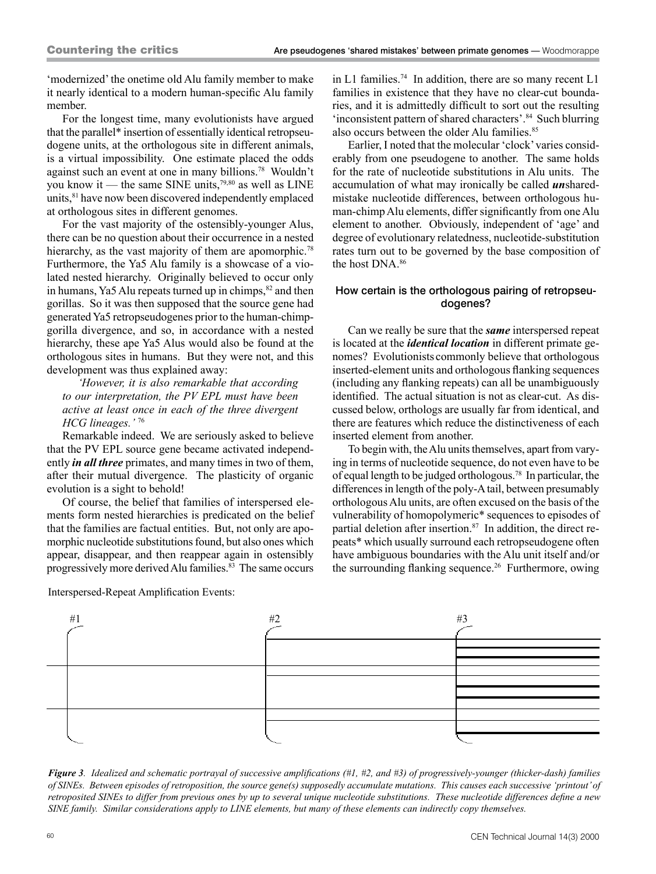'modernized' the onetime old Alu family member to make it nearly identical to a modern human-specific Alu family member.

For the longest time, many evolutionists have argued that the parallel\* insertion of essentially identical retropseudogene units, at the orthologous site in different animals, is a virtual impossibility. One estimate placed the odds against such an event at one in many billions.78 Wouldn't you know it — the same SINE units,<sup>79,80</sup> as well as LINE units,<sup>81</sup> have now been discovered independently emplaced at orthologous sites in different genomes.

For the vast majority of the ostensibly-younger Alus, there can be no question about their occurrence in a nested hierarchy, as the vast majority of them are apomorphic.<sup>78</sup> Furthermore, the Ya5 Alu family is a showcase of a violated nested hierarchy. Originally believed to occur only in humans, Ya5 Alu repeats turned up in chimps, <sup>82</sup> and then gorillas. So it was then supposed that the source gene had generated Ya5 retropseudogenes prior to the human-chimpgorilla divergence, and so, in accordance with a nested hierarchy, these ape Ya5 Alus would also be found at the orthologous sites in humans. But they were not, and this development was thus explained away:

*'However, it is also remarkable that according to our interpretation, the PV EPL must have been active at least once in each of the three divergent HCG lineages.'* <sup>76</sup>

Remarkable indeed. We are seriously asked to believe that the PV EPL source gene became activated independently *in all three* primates, and many times in two of them, after their mutual divergence. The plasticity of organic evolution is a sight to behold!

Of course, the belief that families of interspersed elements form nested hierarchies is predicated on the belief that the families are factual entities. But, not only are apomorphic nucleotide substitutions found, but also ones which appear, disappear, and then reappear again in ostensibly progressively more derived Alu families.<sup>83</sup> The same occurs

Interspersed-Repeat Amplification Events:

in L1 families.<sup>74</sup> In addition, there are so many recent L1 families in existence that they have no clear-cut boundaries, and it is admittedly difficult to sort out the resulting 'inconsistent pattern of shared characters'.84 Such blurring also occurs between the older Alu families.<sup>85</sup>

Earlier, I noted that the molecular 'clock' varies considerably from one pseudogene to another. The same holds for the rate of nucleotide substitutions in Alu units. The accumulation of what may ironically be called *un*sharedmistake nucleotide differences, between orthologous human-chimp Alu elements, differ significantly from one Alu element to another. Obviously, independent of 'age' and degree of evolutionary relatedness, nucleotide-substitution rates turn out to be governed by the base composition of the host DNA.86

## How certain is the orthologous pairing of retropseudogenes?

Can we really be sure that the *same* interspersed repeat is located at the *identical location* in different primate genomes? Evolutionists commonly believe that orthologous inserted-element units and orthologous flanking sequences (including any flanking repeats) can all be unambiguously identified. The actual situation is not as clear-cut. As discussed below, orthologs are usually far from identical, and there are features which reduce the distinctiveness of each inserted element from another.

To begin with, the Alu units themselves, apart from varying in terms of nucleotide sequence, do not even have to be of equal length to be judged orthologous.78 In particular, the differences in length of the poly-A tail, between presumably orthologous Alu units, are often excused on the basis of the vulnerability of homopolymeric\* sequences to episodes of partial deletion after insertion.<sup>87</sup> In addition, the direct repeats\* which usually surround each retropseudogene often have ambiguous boundaries with the Alu unit itself and/or the surrounding flanking sequence.26 Furthermore, owing



*Figure 3. Idealized and schematic portrayal of successive amplifications (#1, #2, and #3) of progressively-younger (thicker-dash) families of SINEs. Between episodes of retroposition, the source gene(s) supposedly accumulate mutations. This causes each successive 'printout' of retroposited SINEs to differ from previous ones by up to several unique nucleotide substitutions. These nucleotide differences define a new SINE family. Similar considerations apply to LINE elements, but many of these elements can indirectly copy themselves.*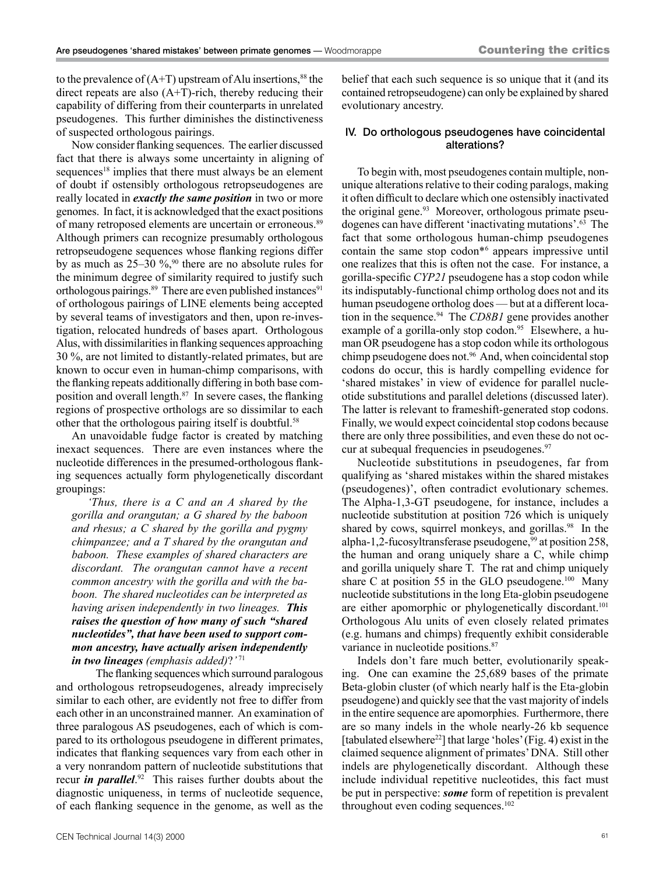to the prevalence of  $(A+T)$  upstream of Alu insertions,<sup>88</sup> the direct repeats are also (A+T)-rich, thereby reducing their capability of differing from their counterparts in unrelated pseudogenes. This further diminishes the distinctiveness of suspected orthologous pairings.

Now consider flanking sequences. The earlier discussed fact that there is always some uncertainty in aligning of sequences<sup>18</sup> implies that there must always be an element of doubt if ostensibly orthologous retropseudogenes are really located in *exactly the same position* in two or more genomes. In fact, it is acknowledged that the exact positions of many retroposed elements are uncertain or erroneous.<sup>89</sup> Although primers can recognize presumably orthologous retropseudogene sequences whose flanking regions differ by as much as  $25-30\%$ ,<sup>90</sup> there are no absolute rules for the minimum degree of similarity required to justify such orthologous pairings.<sup>89</sup> There are even published instances<sup>91</sup> of orthologous pairings of LINE elements being accepted by several teams of investigators and then, upon re-investigation, relocated hundreds of bases apart. Orthologous Alus, with dissimilarities in flanking sequences approaching 30 %, are not limited to distantly-related primates, but are known to occur even in human-chimp comparisons, with the flanking repeats additionally differing in both base composition and overall length.<sup>87</sup> In severe cases, the flanking regions of prospective orthologs are so dissimilar to each other that the orthologous pairing itself is doubtful.<sup>58</sup>

An unavoidable fudge factor is created by matching inexact sequences. There are even instances where the nucleotide differences in the presumed-orthologous flanking sequences actually form phylogenetically discordant groupings:

*'Thus, there is a C and an A shared by the gorilla and orangutan; a G shared by the baboon and rhesus; a C shared by the gorilla and pygmy chimpanzee; and a T shared by the orangutan and baboon. These examples of shared characters are discordant. The orangutan cannot have a recent common ancestry with the gorilla and with the baboon. The shared nucleotides can be interpreted as having arisen independently in two lineages. This raises the question of how many of such "shared nucleotides", that have been used to support common ancestry, have actually arisen independently in two lineages (emphasis added)*?*'*<sup>71</sup>

The flanking sequences which surround paralogous and orthologous retropseudogenes, already imprecisely similar to each other, are evidently not free to differ from each other in an unconstrained manner. An examination of three paralogous AS pseudogenes, each of which is compared to its orthologous pseudogene in different primates, indicates that flanking sequences vary from each other in a very nonrandom pattern of nucleotide substitutions that recur *in parallel*. 92 This raises further doubts about the diagnostic uniqueness, in terms of nucleotide sequence, of each flanking sequence in the genome, as well as the

belief that each such sequence is so unique that it (and its contained retropseudogene) can only be explained by shared evolutionary ancestry.

#### IV. Do orthologous pseudogenes have coincidental alterations?

To begin with, most pseudogenes contain multiple, nonunique alterations relative to their coding paralogs, making it often difficult to declare which one ostensibly inactivated the original gene.<sup>93</sup> Moreover, orthologous primate pseudogenes can have different 'inactivating mutations'.63 The fact that some orthologous human-chimp pseudogenes contain the same stop codon\*6 appears impressive until one realizes that this is often not the case. For instance, a gorilla-specific *CYP21* pseudogene has a stop codon while its indisputably-functional chimp ortholog does not and its human pseudogene ortholog does — but at a different location in the sequence.94 The *CD8B1* gene provides another example of a gorilla-only stop codon.<sup>95</sup> Elsewhere, a human OR pseudogene has a stop codon while its orthologous chimp pseudogene does not.96 And, when coincidental stop codons do occur, this is hardly compelling evidence for 'shared mistakes' in view of evidence for parallel nucleotide substitutions and parallel deletions (discussed later). The latter is relevant to frameshift-generated stop codons. Finally, we would expect coincidental stop codons because there are only three possibilities, and even these do not occur at subequal frequencies in pseudogenes.<sup>97</sup>

Nucleotide substitutions in pseudogenes, far from qualifying as 'shared mistakes within the shared mistakes (pseudogenes)', often contradict evolutionary schemes. The Alpha-1,3-GT pseudogene, for instance, includes a nucleotide substitution at position 726 which is uniquely shared by cows, squirrel monkeys, and gorillas.<sup>98</sup> In the alpha-1,2-fucosyltransferase pseudogene, $99$  at position 258, the human and orang uniquely share a C, while chimp and gorilla uniquely share T. The rat and chimp uniquely share C at position 55 in the GLO pseudogene.<sup>100</sup> Many nucleotide substitutions in the long Eta-globin pseudogene are either apomorphic or phylogenetically discordant.<sup>101</sup> Orthologous Alu units of even closely related primates (e.g. humans and chimps) frequently exhibit considerable variance in nucleotide positions.<sup>87</sup>

Indels don't fare much better, evolutionarily speaking. One can examine the 25,689 bases of the primate Beta-globin cluster (of which nearly half is the Eta-globin pseudogene) and quickly see that the vast majority of indels in the entire sequence are apomorphies. Furthermore, there are so many indels in the whole nearly-26 kb sequence [tabulated elsewhere<sup>22</sup>] that large 'holes' (Fig. 4) exist in the claimed sequence alignment of primates' DNA. Still other indels are phylogenetically discordant. Although these include individual repetitive nucleotides, this fact must be put in perspective: *some* form of repetition is prevalent throughout even coding sequences.<sup>102</sup>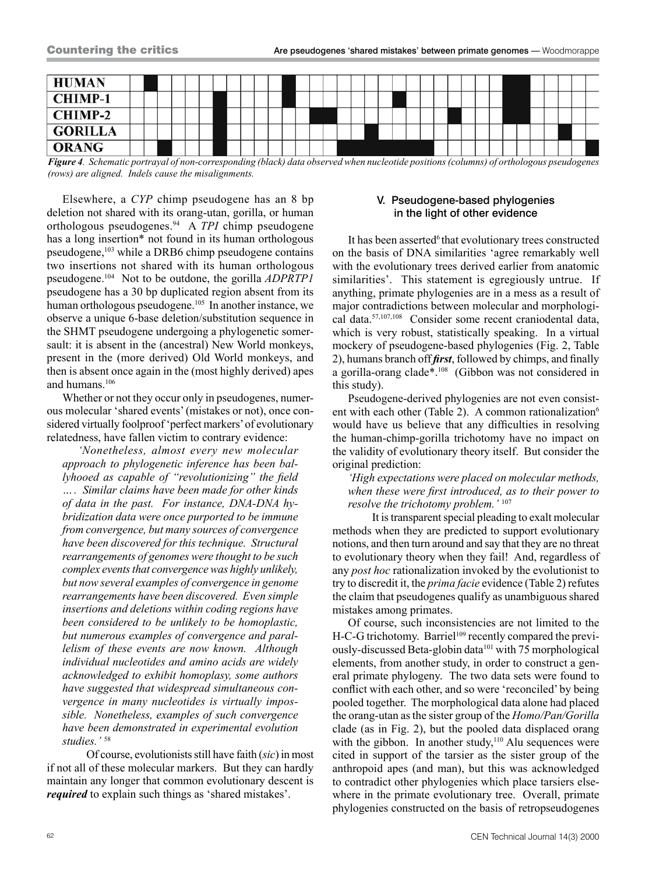

*Figure 4. Schematic portrayal of non-corresponding (black) data observed when nucleotide positions (columns) of orthologous pseudogenes (rows) are aligned. Indels cause the misalignments.*

Elsewhere, a *CYP* chimp pseudogene has an 8 bp deletion not shared with its orang-utan, gorilla, or human orthologous pseudogenes.94 A *TPI* chimp pseudogene has a long insertion<sup>\*</sup> not found in its human orthologous pseudogene,103 while a DRB6 chimp pseudogene contains two insertions not shared with its human orthologous pseudogene.104 Not to be outdone, the gorilla *ADPRTP1* pseudogene has a 30 bp duplicated region absent from its human orthologous pseudogene.<sup>105</sup> In another instance, we observe a unique 6-base deletion/substitution sequence in the SHMT pseudogene undergoing a phylogenetic somersault: it is absent in the (ancestral) New World monkeys, present in the (more derived) Old World monkeys, and then is absent once again in the (most highly derived) apes and humans.106

Whether or not they occur only in pseudogenes, numerous molecular 'shared events' (mistakes or not), once considered virtually foolproof 'perfect markers' of evolutionary relatedness, have fallen victim to contrary evidence:

*'Nonetheless, almost every new molecular approach to phylogenetic inference has been ballyhooed as capable of "revolutionizing" the field …. Similar claims have been made for other kinds of data in the past. For instance, DNA-DNA hybridization data were once purported to be immune from convergence, but many sources of convergence have been discovered for this technique. Structural rearrangements of genomes were thought to be such complex events that convergence was highly unlikely, but now several examples of convergence in genome rearrangements have been discovered. Even simple insertions and deletions within coding regions have been considered to be unlikely to be homoplastic, but numerous examples of convergence and parallelism of these events are now known. Although individual nucleotides and amino acids are widely acknowledged to exhibit homoplasy, some authors have suggested that widespread simultaneous convergence in many nucleotides is virtually impossible. Nonetheless, examples of such convergence have been demonstrated in experimental evolution studies.'* <sup>58</sup>

Of course, evolutionists still have faith (*sic*) in most if not all of these molecular markers. But they can hardly maintain any longer that common evolutionary descent is *required* to explain such things as 'shared mistakes'.

## V. Pseudogene-based phylogenies in the light of other evidence

It has been asserted<sup>6</sup> that evolutionary trees constructed on the basis of DNA similarities 'agree remarkably well with the evolutionary trees derived earlier from anatomic similarities'. This statement is egregiously untrue. If anything, primate phylogenies are in a mess as a result of major contradictions between molecular and morphological data.57,107,108 Consider some recent craniodental data, which is very robust, statistically speaking. In a virtual mockery of pseudogene-based phylogenies (Fig. 2, Table 2), humans branch off *first*, followed by chimps, and finally a gorilla-orang clade\*.108 (Gibbon was not considered in this study).

Pseudogene-derived phylogenies are not even consistent with each other (Table 2). A common rationalization<sup>6</sup> would have us believe that any difficulties in resolving the human-chimp-gorilla trichotomy have no impact on the validity of evolutionary theory itself. But consider the original prediction:

*'High expectations were placed on molecular methods, when these were first introduced, as to their power to resolve the trichotomy problem.'* <sup>107</sup>

It is transparent special pleading to exalt molecular methods when they are predicted to support evolutionary notions, and then turn around and say that they are no threat to evolutionary theory when they fail! And, regardless of any *post hoc* rationalization invoked by the evolutionist to try to discredit it, the *prima facie* evidence (Table 2) refutes the claim that pseudogenes qualify as unambiguous shared mistakes among primates.

Of course, such inconsistencies are not limited to the H-C-G trichotomy. Barriel<sup>109</sup> recently compared the previously-discussed Beta-globin data<sup>101</sup> with 75 morphological elements, from another study, in order to construct a general primate phylogeny. The two data sets were found to conflict with each other, and so were 'reconciled' by being pooled together. The morphological data alone had placed the orang-utan as the sister group of the *Homo/Pan/Gorilla* clade (as in Fig. 2), but the pooled data displaced orang with the gibbon. In another study,<sup>110</sup> Alu sequences were cited in support of the tarsier as the sister group of the anthropoid apes (and man), but this was acknowledged to contradict other phylogenies which place tarsiers elsewhere in the primate evolutionary tree. Overall, primate phylogenies constructed on the basis of retropseudogenes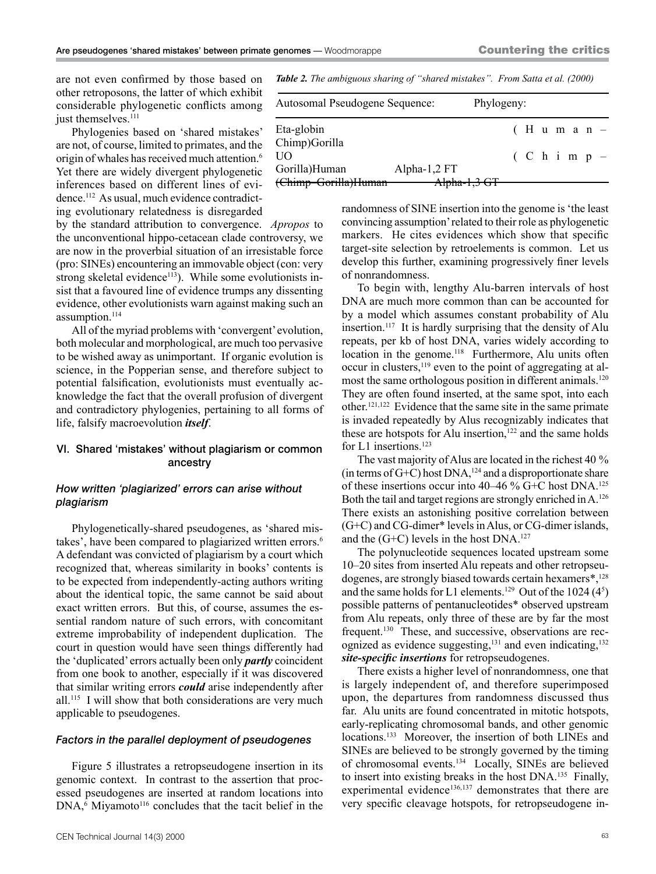are not even confirmed by those based on other retroposons, the latter of which exhibit considerable phylogenetic conflicts among just themselves.<sup>111</sup>

Phylogenies based on 'shared mistakes' are not, of course, limited to primates, and the origin of whales has received much attention.6 Yet there are widely divergent phylogenetic inferences based on different lines of evidence.112 As usual, much evidence contradicting evolutionary relatedness is disregarded

by the standard attribution to convergence. *Apropos* to the unconventional hippo-cetacean clade controversy, we are now in the proverbial situation of an irresistable force (pro: SINEs) encountering an immovable object (con: very strong skeletal evidence<sup>113</sup>). While some evolutionists insist that a favoured line of evidence trumps any dissenting evidence, other evolutionists warn against making such an assumption.<sup>114</sup>

All of the myriad problems with 'convergent' evolution, both molecular and morphological, are much too pervasive to be wished away as unimportant. If organic evolution is science, in the Popperian sense, and therefore subject to potential falsification, evolutionists must eventually acknowledge the fact that the overall profusion of divergent and contradictory phylogenies, pertaining to all forms of life, falsify macroevolution *itself*.

#### VI. Shared 'mistakes' without plagiarism or common ancestry

#### *How written 'plagiarized' errors can arise without plagiarism*

Phylogenetically-shared pseudogenes, as 'shared mistakes', have been compared to plagiarized written errors.<sup>6</sup> A defendant was convicted of plagiarism by a court which recognized that, whereas similarity in books' contents is to be expected from independently-acting authors writing about the identical topic, the same cannot be said about exact written errors. But this, of course, assumes the essential random nature of such errors, with concomitant extreme improbability of independent duplication. The court in question would have seen things differently had the 'duplicated' errors actually been only *partly* coincident from one book to another, especially if it was discovered that similar writing errors *could* arise independently after all.<sup>115</sup> I will show that both considerations are very much applicable to pseudogenes.

#### *Factors in the parallel deployment of pseudogenes*

Figure 5 illustrates a retropseudogene insertion in its genomic context. In contrast to the assertion that processed pseudogenes are inserted at random locations into  $DNA<sub>6</sub>$  Miyamoto<sup>116</sup> concludes that the tacit belief in the

*Table 2. The ambiguous sharing of "shared mistakes". From Satta et al. (2000)*

| Autosomal Pseudogene Sequence: | Phylogeny:   |  |                |  |  |  |
|--------------------------------|--------------|--|----------------|--|--|--|
| Eta-globin<br>Chimp)Gorilla    |              |  | $(H$ uman-     |  |  |  |
| UО                             |              |  | $(C h i m p -$ |  |  |  |
| Gorilla)Human                  | Alpha-1,2 FT |  |                |  |  |  |
| (Chimp-Gorilla)Human           | Alpha-1,3 GT |  |                |  |  |  |

randomness of SINE insertion into the genome is 'the least convincing assumption' related to their role as phylogenetic markers. He cites evidences which show that specific target-site selection by retroelements is common. Let us develop this further, examining progressively finer levels of nonrandomness.

To begin with, lengthy Alu-barren intervals of host DNA are much more common than can be accounted for by a model which assumes constant probability of Alu insertion.<sup>117</sup> It is hardly surprising that the density of Alu repeats, per kb of host DNA, varies widely according to location in the genome.<sup>118</sup> Furthermore, Alu units often occur in clusters,<sup>119</sup> even to the point of aggregating at almost the same orthologous position in different animals.<sup>120</sup> They are often found inserted, at the same spot, into each other.121,122 Evidence that the same site in the same primate is invaded repeatedly by Alus recognizably indicates that these are hotspots for Alu insertion, $122$  and the same holds for L1 insertions.<sup>123</sup>

The vast majority of Alus are located in the richest 40 % (in terms of G+C) host DNA,<sup>124</sup> and a disproportionate share of these insertions occur into 40–46 % G+C host  $DNA$ <sup>125</sup> Both the tail and target regions are strongly enriched in A.126 There exists an astonishing positive correlation between (G+C) and CG-dimer\* levels in Alus, or CG-dimer islands, and the  $(G+C)$  levels in the host DNA.<sup>127</sup>

The polynucleotide sequences located upstream some 10–20 sites from inserted Alu repeats and other retropseudogenes, are strongly biased towards certain hexamers\*,<sup>128</sup> and the same holds for L1 elements.<sup>129</sup> Out of the 1024  $(4^5)$ possible patterns of pentanucleotides\* observed upstream from Alu repeats, only three of these are by far the most frequent.<sup>130</sup> These, and successive, observations are recognized as evidence suggesting,<sup>131</sup> and even indicating,<sup>132</sup> *site-specific insertions* for retropseudogenes.

There exists a higher level of nonrandomness, one that is largely independent of, and therefore superimposed upon, the departures from randomness discussed thus far. Alu units are found concentrated in mitotic hotspots, early-replicating chromosomal bands, and other genomic locations.<sup>133</sup> Moreover, the insertion of both LINEs and SINEs are believed to be strongly governed by the timing of chromosomal events.134 Locally, SINEs are believed to insert into existing breaks in the host DNA.135 Finally, experimental evidence<sup>136,137</sup> demonstrates that there are very specific cleavage hotspots, for retropseudogene in-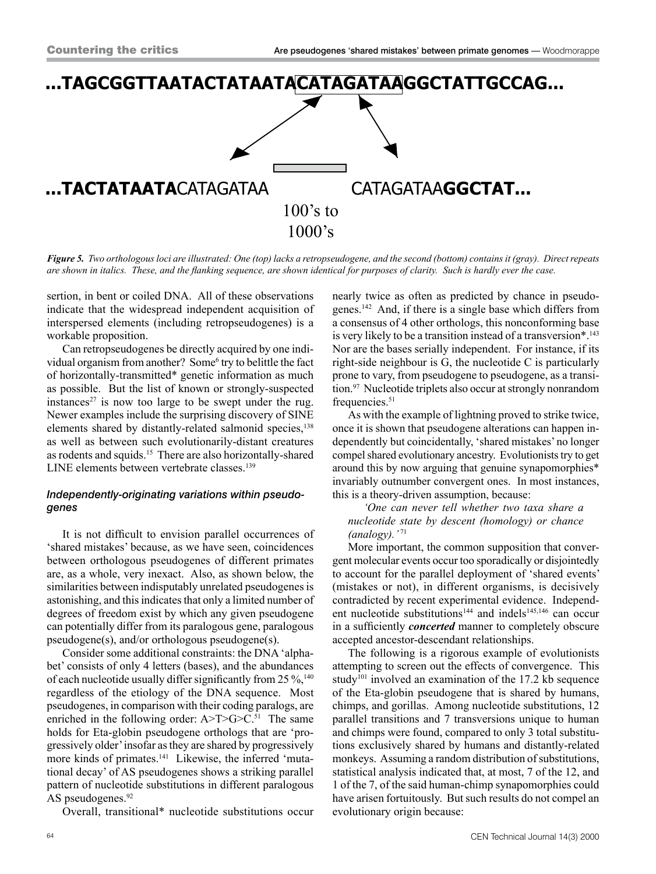

*Figure 5. Two orthologous loci are illustrated: One (top) lacks a retropseudogene, and the second (bottom) contains it (gray). Direct repeats are shown in italics. These, and the flanking sequence, are shown identical for purposes of clarity. Such is hardly ever the case.*

sertion, in bent or coiled DNA. All of these observations indicate that the widespread independent acquisition of interspersed elements (including retropseudogenes) is a workable proposition.

Can retropseudogenes be directly acquired by one individual organism from another? Some<sup>6</sup> try to belittle the fact of horizontally-transmitted\* genetic information as much as possible. But the list of known or strongly-suspected instances<sup>27</sup> is now too large to be swept under the rug. Newer examples include the surprising discovery of SINE elements shared by distantly-related salmonid species,<sup>138</sup> as well as between such evolutionarily-distant creatures as rodents and squids.15 There are also horizontally-shared LINE elements between vertebrate classes.<sup>139</sup>

## *Independently-originating variations within pseudogenes*

It is not difficult to envision parallel occurrences of 'shared mistakes' because, as we have seen, coincidences between orthologous pseudogenes of different primates are, as a whole, very inexact. Also, as shown below, the similarities between indisputably unrelated pseudogenes is astonishing, and this indicates that only a limited number of degrees of freedom exist by which any given pseudogene can potentially differ from its paralogous gene, paralogous pseudogene(s), and/or orthologous pseudogene(s).

Consider some additional constraints: the DNA 'alphabet' consists of only 4 letters (bases), and the abundances of each nucleotide usually differ significantly from 25  $\%$ ,<sup>140</sup>, regardless of the etiology of the DNA sequence. Most pseudogenes, in comparison with their coding paralogs, are enriched in the following order:  $A > T > G > C.51$  The same holds for Eta-globin pseudogene orthologs that are 'progressively older' insofar as they are shared by progressively more kinds of primates.<sup>141</sup> Likewise, the inferred 'mutational decay' of AS pseudogenes shows a striking parallel pattern of nucleotide substitutions in different paralogous AS pseudogenes.<sup>92</sup>

Overall, transitional\* nucleotide substitutions occur

nearly twice as often as predicted by chance in pseudogenes.142 And, if there is a single base which differs from a consensus of 4 other orthologs, this nonconforming base is very likely to be a transition instead of a transversion\*.<sup>143</sup> Nor are the bases serially independent. For instance, if its right-side neighbour is G, the nucleotide C is particularly prone to vary, from pseudogene to pseudogene, as a transition.<sup>97</sup> Nucleotide triplets also occur at strongly nonrandom frequencies.<sup>51</sup>

As with the example of lightning proved to strike twice, once it is shown that pseudogene alterations can happen independently but coincidentally, 'shared mistakes' no longer compel shared evolutionary ancestry. Evolutionists try to get around this by now arguing that genuine synapomorphies\* invariably outnumber convergent ones. In most instances, this is a theory-driven assumption, because:

*'One can never tell whether two taxa share a nucleotide state by descent (homology) or chance (analogy).'* <sup>71</sup>

More important, the common supposition that convergent molecular events occur too sporadically or disjointedly to account for the parallel deployment of 'shared events' (mistakes or not), in different organisms, is decisively contradicted by recent experimental evidence. Independent nucleotide substitutions<sup>144</sup> and indels<sup>145,146</sup> can occur in a sufficiently *concerted* manner to completely obscure accepted ancestor-descendant relationships.

The following is a rigorous example of evolutionists attempting to screen out the effects of convergence. This study<sup>101</sup> involved an examination of the 17.2 kb sequence of the Eta-globin pseudogene that is shared by humans, chimps, and gorillas. Among nucleotide substitutions, 12 parallel transitions and 7 transversions unique to human and chimps were found, compared to only 3 total substitutions exclusively shared by humans and distantly-related monkeys. Assuming a random distribution of substitutions, statistical analysis indicated that, at most, 7 of the 12, and 1 of the 7, of the said human-chimp synapomorphies could have arisen fortuitously. But such results do not compel an evolutionary origin because: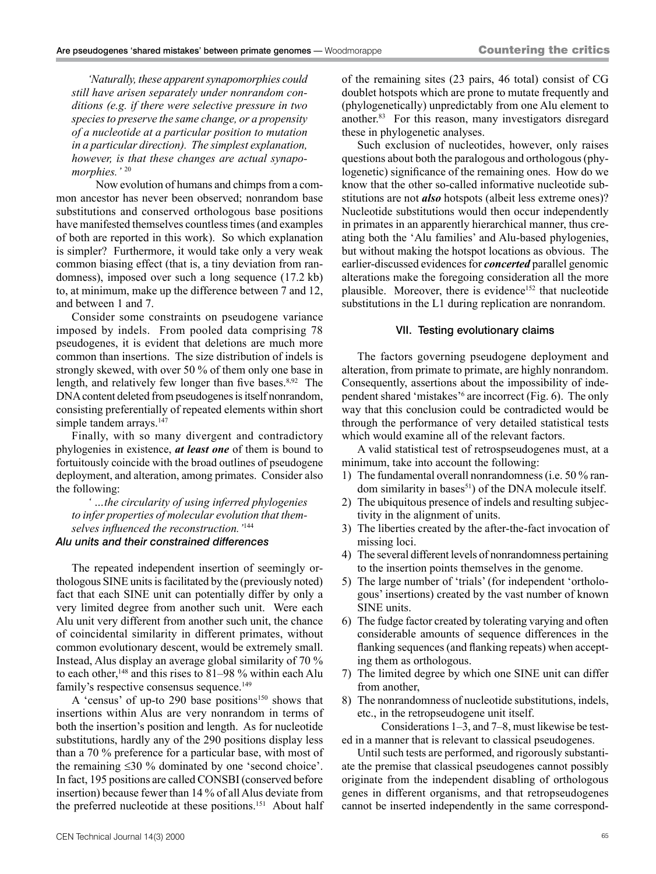*'Naturally, these apparent synapomorphies could still have arisen separately under nonrandom conditions (e.g. if there were selective pressure in two species to preserve the same change, or a propensity of a nucleotide at a particular position to mutation in a particular direction). The simplest explanation, however, is that these changes are actual synapomorphies.'* <sup>20</sup>

Now evolution of humans and chimps from a common ancestor has never been observed; nonrandom base substitutions and conserved orthologous base positions have manifested themselves countless times (and examples of both are reported in this work). So which explanation is simpler? Furthermore, it would take only a very weak common biasing effect (that is, a tiny deviation from randomness), imposed over such a long sequence (17.2 kb) to, at minimum, make up the difference between 7 and 12, and between 1 and 7.

Consider some constraints on pseudogene variance imposed by indels. From pooled data comprising 78 pseudogenes, it is evident that deletions are much more common than insertions. The size distribution of indels is strongly skewed, with over 50 % of them only one base in length, and relatively few longer than five bases.<sup>8,92</sup> The DNA content deleted from pseudogenes is itself nonrandom, consisting preferentially of repeated elements within short simple tandem arrays.<sup>147</sup>

Finally, with so many divergent and contradictory phylogenies in existence, *at least one* of them is bound to fortuitously coincide with the broad outlines of pseudogene deployment, and alteration, among primates. Consider also the following:

*' …the circularity of using inferred phylogenies to infer properties of molecular evolution that themselves influenced the reconstruction.'*<sup>144</sup>

#### *Alu units and their constrained differences*

The repeated independent insertion of seemingly orthologous SINE units is facilitated by the (previously noted) fact that each SINE unit can potentially differ by only a very limited degree from another such unit. Were each Alu unit very different from another such unit, the chance of coincidental similarity in different primates, without common evolutionary descent, would be extremely small. Instead, Alus display an average global similarity of 70 % to each other,<sup>148</sup> and this rises to 81–98 % within each Alu family's respective consensus sequence.<sup>149</sup>

A 'census' of up-to 290 base positions<sup>150</sup> shows that insertions within Alus are very nonrandom in terms of both the insertion's position and length. As for nucleotide substitutions, hardly any of the 290 positions display less than a 70 % preference for a particular base, with most of the remaining ≤30 % dominated by one 'second choice'. In fact, 195 positions are called CONSBI (conserved before insertion) because fewer than 14 % of all Alus deviate from the preferred nucleotide at these positions.<sup>151</sup> About half

of the remaining sites (23 pairs, 46 total) consist of CG doublet hotspots which are prone to mutate frequently and (phylogenetically) unpredictably from one Alu element to another.83 For this reason, many investigators disregard these in phylogenetic analyses.

Such exclusion of nucleotides, however, only raises questions about both the paralogous and orthologous (phylogenetic) significance of the remaining ones. How do we know that the other so-called informative nucleotide substitutions are not *also* hotspots (albeit less extreme ones)? Nucleotide substitutions would then occur independently in primates in an apparently hierarchical manner, thus creating both the 'Alu families' and Alu-based phylogenies, but without making the hotspot locations as obvious. The earlier-discussed evidences for *concerted* parallel genomic alterations make the foregoing consideration all the more plausible. Moreover, there is evidence<sup>152</sup> that nucleotide substitutions in the L1 during replication are nonrandom.

#### VII. Testing evolutionary claims

The factors governing pseudogene deployment and alteration, from primate to primate, are highly nonrandom. Consequently, assertions about the impossibility of independent shared 'mistakes'<sup>6</sup> are incorrect (Fig. 6). The only way that this conclusion could be contradicted would be through the performance of very detailed statistical tests which would examine all of the relevant factors.

A valid statistical test of retrospseudogenes must, at a minimum, take into account the following:

- 1) The fundamental overall nonrandomness (i.e. 50 % random similarity in bases<sup>51</sup>) of the DNA molecule itself.
- 2) The ubiquitous presence of indels and resulting subjectivity in the alignment of units.
- 3) The liberties created by the after-the-fact invocation of missing loci.
- 4) The several different levels of nonrandomness pertaining to the insertion points themselves in the genome.
- 5) The large number of 'trials' (for independent 'orthologous' insertions) created by the vast number of known SINE units.
- 6) The fudge factor created by tolerating varying and often considerable amounts of sequence differences in the flanking sequences (and flanking repeats) when accepting them as orthologous.
- 7) The limited degree by which one SINE unit can differ from another,
- 8) The nonrandomness of nucleotide substitutions, indels, etc., in the retropseudogene unit itself.

Considerations 1–3, and 7–8, must likewise be tested in a manner that is relevant to classical pseudogenes.

Until such tests are performed, and rigorously substantiate the premise that classical pseudogenes cannot possibly originate from the independent disabling of orthologous genes in different organisms, and that retropseudogenes cannot be inserted independently in the same correspond-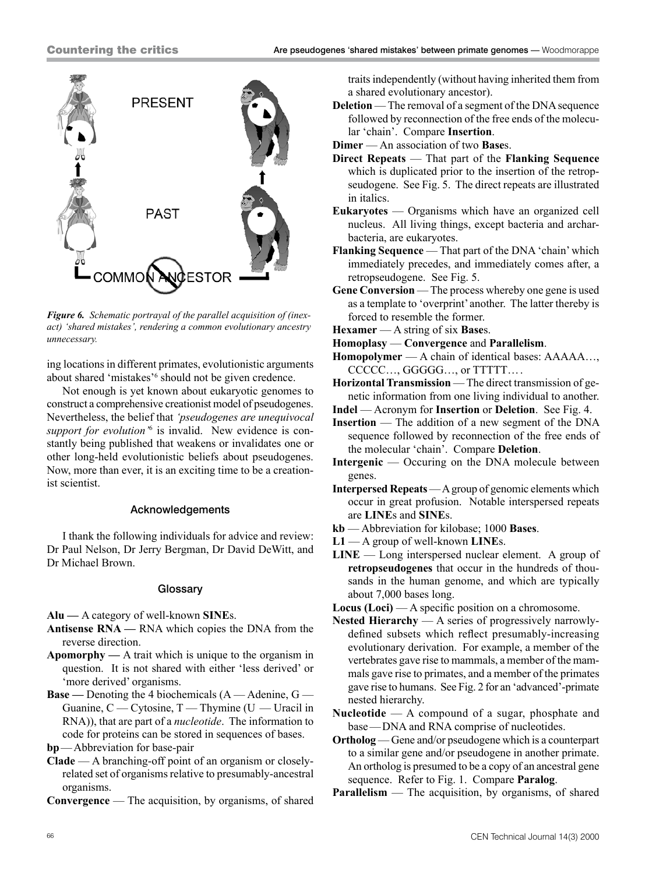

*Figure 6. Schematic portrayal of the parallel acquisition of (inexact) 'shared mistakes', rendering a common evolutionary ancestry unnecessary.*

ing locations in different primates, evolutionistic arguments about shared 'mistakes'<sup>6</sup> should not be given credence.

Not enough is yet known about eukaryotic genomes to construct a comprehensive creationist model of pseudogenes. Nevertheless, the belief that *'pseudogenes are unequivocal*  support for evolution<sup>'6</sup> is invalid. New evidence is constantly being published that weakens or invalidates one or other long-held evolutionistic beliefs about pseudogenes. Now, more than ever, it is an exciting time to be a creationist scientist.

## Acknowledgements

I thank the following individuals for advice and review: Dr Paul Nelson, Dr Jerry Bergman, Dr David DeWitt, and Dr Michael Brown.

#### **Glossary**

**Alu —** A category of well-known **SINE**s.

- **Antisense RNA** RNA which copies the DNA from the reverse direction.
- **Apomorphy** A trait which is unique to the organism in question. It is not shared with either 'less derived' or 'more derived' organisms.
- **Base** Denoting the 4 biochemicals (A Adenine, G Guanine,  $C - C$ ytosine,  $T - T$ hymine ( $U - U$ racil in RNA)), that are part of a *nucleotide*. The information to code for proteins can be stored in sequences of bases.

**bp**—Abbreviation for base-pair

- **Clade** A branching-off point of an organism or closelyrelated set of organisms relative to presumably-ancestral organisms.
- **Convergence** The acquisition, by organisms, of shared

traits independently (without having inherited them from a shared evolutionary ancestor).

- **Deletion** The removal of a segment of the DNA sequence followed by reconnection of the free ends of the molecular 'chain'. Compare **Insertion**.
- **Dimer** An association of two **Base**s.
- **Direct Repeats** That part of the **Flanking Sequence** which is duplicated prior to the insertion of the retropseudogene. See Fig. 5. The direct repeats are illustrated in italics.
- **Eukaryotes** Organisms which have an organized cell nucleus. All living things, except bacteria and archarbacteria, are eukaryotes.
- **Flanking Sequence** That part of the DNA 'chain' which immediately precedes, and immediately comes after, a retropseudogene. See Fig. 5.
- Gene Conversion The process whereby one gene is used as a template to 'overprint' another. The latter thereby is forced to resemble the former.
- **Hexamer** A string of six **Base**s.
- **Homoplasy Convergence** and **Parallelism**.
- **Homopolymer** A chain of identical bases: AAAAA…, CCCCC…, GGGGG…, or TTTTT….
- **Horizontal Transmission** The direct transmission of genetic information from one living individual to another.
- **Indel** Acronym for **Insertion** or **Deletion**. See Fig. 4.
- **Insertion** The addition of a new segment of the DNA sequence followed by reconnection of the free ends of the molecular 'chain'. Compare **Deletion**.
- **Intergenic** Occuring on the DNA molecule between genes.
- **Interpersed Repeats** A group of genomic elements which occur in great profusion. Notable interspersed repeats are **LINE**s and **SINE**s.
- **kb** Abbreviation for kilobase; 1000 **Bases**.
- **L1** A group of well-known **LINE**s.
- **LINE** Long interspersed nuclear element. A group of **retropseudogenes** that occur in the hundreds of thousands in the human genome, and which are typically about 7,000 bases long.
- **Locus (Loci)** A specific position on a chromosome.
- **Nested Hierarchy** A series of progressively narrowlydefined subsets which reflect presumably-increasing evolutionary derivation. For example, a member of the vertebrates gave rise to mammals, a member of the mammals gave rise to primates, and a member of the primates gave rise to humans. See Fig. 2 for an 'advanced'-primate nested hierarchy.
- **Nucleotide** A compound of a sugar, phosphate and base—DNA and RNA comprise of nucleotides.
- **Ortholog** Gene and/or pseudogene which is a counterpart to a similar gene and/or pseudogene in another primate. An ortholog is presumed to be a copy of an ancestral gene sequence. Refer to Fig. 1. Compare **Paralog**.
- **Parallelism** The acquisition, by organisms, of shared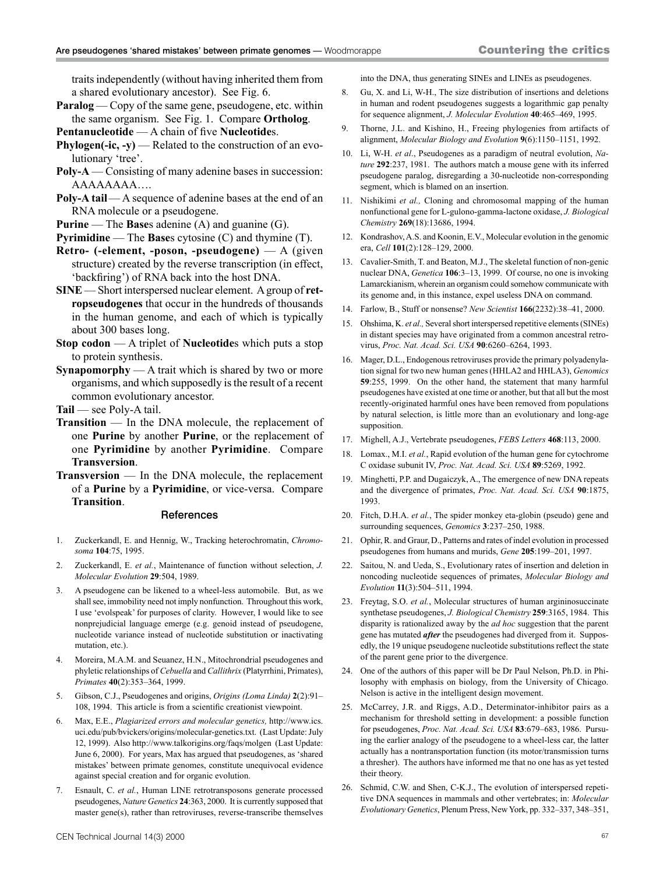traits independently (without having inherited them from a shared evolutionary ancestor). See Fig. 6.

- **Paralog** Copy of the same gene, pseudogene, etc. within the same organism. See Fig. 1. Compare **Ortholog**.
- **Pentanucleotide** A chain of five **Nucleotide**s.
- **Phylogen(-ic, -y)** Related to the construction of an evolutionary 'tree'.
- **Poly-A** Consisting of many adenine bases in succession: AAAAAAAA….
- **Poly-A tail** A sequence of adenine bases at the end of an RNA molecule or a pseudogene.
- **Purine** The **Base**s adenine (A) and guanine (G).
- **Pyrimidine** The **Base**s cytosine (C) and thymine (T).
- **Retro- (-element, -poson, -pseudogene)** A (given structure) created by the reverse transcription (in effect, 'backfiring') of RNA back into the host DNA.
- **SINE** Short interspersed nuclear element. A group of **retropseudogenes** that occur in the hundreds of thousands in the human genome, and each of which is typically about 300 bases long.
- **Stop codon** A triplet of **Nucleotide**s which puts a stop to protein synthesis.
- **Synapomorphy** A trait which is shared by two or more organisms, and which supposedly is the result of a recent common evolutionary ancestor.

**Tail** — see Poly-A tail.

- **Transition** In the DNA molecule, the replacement of one **Purine** by another **Purine**, or the replacement of one **Pyrimidine** by another **Pyrimidine**. Compare **Transversion**.
- **Transversion** In the DNA molecule, the replacement of a **Purine** by a **Pyrimidine**, or vice-versa. Compare **Transition**.

#### **References**

- 1. Zuckerkandl, E. and Hennig, W., Tracking heterochromatin, *Chromosoma* **104**:75, 1995.
- 2. Zuckerkandl, E. *et al.*, Maintenance of function without selection, *J. Molecular Evolution* **29**:504, 1989.
- 3. A pseudogene can be likened to a wheel-less automobile. But, as we shall see, immobility need not imply nonfunction. Throughout this work, I use 'evolspeak' for purposes of clarity. However, I would like to see nonprejudicial language emerge (e.g. genoid instead of pseudogene, nucleotide variance instead of nucleotide substitution or inactivating mutation, etc.).
- 4. Moreira, M.A.M. and Seuanez, H.N., Mitochrondrial pseudogenes and phyletic relationships of *Cebuella* and *Callithrix* (Platyrrhini, Primates), *Primates* **40**(2):353–364, 1999.
- 5. Gibson, C.J., Pseudogenes and origins, *Origins (Loma Linda)* **2**(2):91– 108, 1994. This article is from a scientific creationist viewpoint.
- 6. Max, E.E., *Plagiarized errors and molecular genetics,* http://www.ics. uci.edu/pub/bvickers/origins/molecular-genetics.txt. (Last Update: July 12, 1999). Also http://www.talkorigins.org/faqs/molgen (Last Update: June 6, 2000). For years, Max has argued that pseudogenes, as 'shared mistakes' between primate genomes, constitute unequivocal evidence against special creation and for organic evolution.
- 7. Esnault, C. *et al.*, Human LINE retrotransposons generate processed pseudogenes, *Nature Genetics* **24**:363, 2000. It is currently supposed that master gene(s), rather than retroviruses, reverse-transcribe themselves

into the DNA, thus generating SINEs and LINEs as pseudogenes.

- 8. Gu, X. and Li, W-H., The size distribution of insertions and deletions in human and rodent pseudogenes suggests a logarithmic gap penalty for sequence alignment, *J. Molecular Evolution* **40**:465–469, 1995.
- 9. Thorne, J.L. and Kishino, H., Freeing phylogenies from artifacts of alignment, *Molecular Biology and Evolution* **9**(6):1150–1151, 1992.
- 10. Li, W-H. *et al*., Pseudogenes as a paradigm of neutral evolution, *Nature* **292**:237, 1981. The authors match a mouse gene with its inferred pseudogene paralog, disregarding a 30-nucleotide non-corresponding segment, which is blamed on an insertion.
- 11. Nishikimi *et al.,* Cloning and chromosomal mapping of the human nonfunctional gene for L-gulono-gamma-lactone oxidase, *J. Biological Chemistry* **269**(18):13686, 1994.
- 12. Kondrashov, A.S. and Koonin, E.V., Molecular evolution in the genomic era, *Cell* **101**(2):128–129, 2000.
- 13. Cavalier-Smith, T. and Beaton, M.J., The skeletal function of non-genic nuclear DNA, *Genetica* **106**:3–13, 1999. Of course, no one is invoking Lamarckianism, wherein an organism could somehow communicate with its genome and, in this instance, expel useless DNA on command.
- 14. Farlow, B., Stuff or nonsense? *New Scientist* **166**(2232):38–41, 2000.
- 15. Ohshima, K. *et al.,* Several short interspersed repetitive elements (SINEs) in distant species may have originated from a common ancestral retrovirus, *Proc. Nat. Acad. Sci. USA* **90**:6260–6264, 1993.
- 16. Mager, D.L., Endogenous retroviruses provide the primary polyadenylation signal for two new human genes (HHLA2 and HHLA3), *Genomics* **59**:255, 1999. On the other hand, the statement that many harmful pseudogenes have existed at one time or another, but that all but the most recently-originated harmful ones have been removed from populations by natural selection, is little more than an evolutionary and long-age supposition.
- 17. Mighell, A.J., Vertebrate pseudogenes, *FEBS Letters* **468**:113, 2000.
- 18. Lomax., M.I. *et al.*, Rapid evolution of the human gene for cytochrome C oxidase subunit IV, *Proc. Nat. Acad. Sci. USA* **89**:5269, 1992.
- 19. Minghetti, P.P. and Dugaiczyk, A., The emergence of new DNA repeats and the divergence of primates, *Proc. Nat. Acad. Sci. USA* **90**:1875, 1993.
- 20. Fitch, D.H.A. *et al.*, The spider monkey eta-globin (pseudo) gene and surrounding sequences, *Genomics* **3**:237–250, 1988.
- 21. Ophir, R. and Graur, D., Patterns and rates of indel evolution in processed pseudogenes from humans and murids, *Gene* **205**:199–201, 1997.
- 22. Saitou, N. and Ueda, S., Evolutionary rates of insertion and deletion in noncoding nucleotide sequences of primates, *Molecular Biology and Evolution* **11**(3):504–511, 1994.
- 23. Freytag, S.O. *et al.*, Molecular structures of human argininosuccinate synthetase pseudogenes, *J. Biological Chemistry* **259**:3165, 1984. This disparity is rationalized away by the *ad hoc* suggestion that the parent gene has mutated *after* the pseudogenes had diverged from it. Supposedly, the 19 unique pseudogene nucleotide substitutions reflect the state of the parent gene prior to the divergence.
- 24. One of the authors of this paper will be Dr Paul Nelson, Ph.D. in Philosophy with emphasis on biology, from the University of Chicago. Nelson is active in the intelligent design movement.
- 25. McCarrey, J.R. and Riggs, A.D., Determinator-inhibitor pairs as a mechanism for threshold setting in development: a possible function for pseudogenes, *Proc. Nat. Acad. Sci. USA* **83**:679–683, 1986. Pursuing the earlier analogy of the pseudogene to a wheel-less car, the latter actually has a nontransportation function (its motor/transmission turns a thresher). The authors have informed me that no one has as yet tested their theory.
- 26. Schmid, C.W. and Shen, C-K.J., The evolution of interspersed repetitive DNA sequences in mammals and other vertebrates; in: *Molecular Evolutionary Genetics*, Plenum Press, New York, pp. 332–337, 348–351,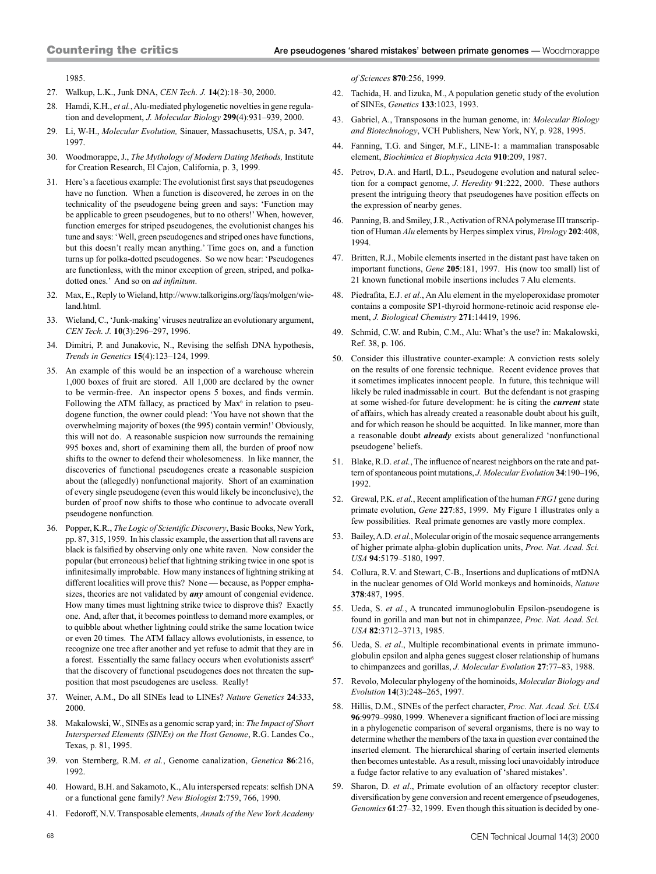1985.

- 27. Walkup, L.K., Junk DNA, *CEN Tech. J.* **14**(2):18–30, 2000.
- 28. Hamdi, K.H., *et al.*, Alu-mediated phylogenetic novelties in gene regulation and development, *J. Molecular Biology* **299**(4):931–939, 2000.
- 29. Li, W-H., *Molecular Evolution,* Sinauer, Massachusetts, USA, p. 347, 1997.
- 30. Woodmorappe, J., *The Mythology of Modern Dating Methods,* Institute for Creation Research, El Cajon, California, p. 3, 1999.
- 31. Here's a facetious example: The evolutionist first says that pseudogenes have no function. When a function is discovered, he zeroes in on the technicality of the pseudogene being green and says: 'Function may be applicable to green pseudogenes, but to no others!' When, however, function emerges for striped pseudogenes, the evolutionist changes his tune and says: 'Well, green pseudogenes and striped ones have functions, but this doesn't really mean anything.' Time goes on, and a function turns up for polka-dotted pseudogenes. So we now hear: 'Pseudogenes are functionless, with the minor exception of green, striped, and polkadotted ones.' And so on *ad infinitum*.
- 32. Max, E., Reply to Wieland, http://www.talkorigins.org/faqs/molgen/wieland.html.
- 33. Wieland, C., 'Junk-making' viruses neutralize an evolutionary argument, *CEN Tech. J.* **10**(3):296–297, 1996.
- 34. Dimitri, P. and Junakovic, N., Revising the selfish DNA hypothesis, *Trends in Genetics* **15**(4):123–124, 1999.
- 35. An example of this would be an inspection of a warehouse wherein 1,000 boxes of fruit are stored. All 1,000 are declared by the owner to be vermin-free. An inspector opens 5 boxes, and finds vermin. Following the ATM fallacy, as practiced by Max<sup>6</sup> in relation to pseudogene function, the owner could plead: 'You have not shown that the overwhelming majority of boxes (the 995) contain vermin!' Obviously, this will not do. A reasonable suspicion now surrounds the remaining 995 boxes and, short of examining them all, the burden of proof now shifts to the owner to defend their wholesomeness. In like manner, the discoveries of functional pseudogenes create a reasonable suspicion about the (allegedly) nonfunctional majority. Short of an examination of every single pseudogene (even this would likely be inconclusive), the burden of proof now shifts to those who continue to advocate overall pseudogene nonfunction.
- 36. Popper, K.R., *The Logic of Scientific Discovery*, Basic Books, New York, pp. 87, 315, 1959. In his classic example, the assertion that all ravens are black is falsified by observing only one white raven. Now consider the popular (but erroneous) belief that lightning striking twice in one spot is infinitesimally improbable. How many instances of lightning striking at different localities will prove this? None — because, as Popper emphasizes, theories are not validated by *any* amount of congenial evidence. How many times must lightning strike twice to disprove this? Exactly one. And, after that, it becomes pointless to demand more examples, or to quibble about whether lightning could strike the same location twice or even 20 times. The ATM fallacy allows evolutionists, in essence, to recognize one tree after another and yet refuse to admit that they are in a forest. Essentially the same fallacy occurs when evolutionists assert<sup>6</sup> that the discovery of functional pseudogenes does not threaten the supposition that most pseudogenes are useless. Really!
- 37. Weiner, A.M., Do all SINEs lead to LINEs? *Nature Genetics* **24**:333, 2000.
- 38. Makalowski, W., SINEs as a genomic scrap yard; in: *The Impact of Short Interspersed Elements (SINEs) on the Host Genome*, R.G. Landes Co., Texas, p. 81, 1995.
- 39. von Sternberg, R.M. *et al.*, Genome canalization, *Genetica* **86**:216, 1992.
- 40. Howard, B.H. and Sakamoto, K., Alu interspersed repeats: selfish DNA or a functional gene family? *New Biologist* **2**:759, 766, 1990.
- 41. Fedoroff, N.V. Transposable elements, *Annals of the New York Academy*

*of Sciences* **870**:256, 1999.

- 42. Tachida, H. and Iizuka, M., A population genetic study of the evolution of SINEs, *Genetics* **133**:1023, 1993.
- 43. Gabriel, A., Transposons in the human genome, in: *Molecular Biology and Biotechnology*, VCH Publishers, New York, NY, p. 928, 1995.
- 44. Fanning, T.G. and Singer, M.F., LINE-1: a mammalian transposable element, *Biochimica et Biophysica Acta* **910**:209, 1987.
- 45. Petrov, D.A. and Hartl, D.L., Pseudogene evolution and natural selection for a compact genome, *J. Heredity* **91**:222, 2000. These authors present the intriguing theory that pseudogenes have position effects on the expression of nearby genes.
- 46. Panning, B. and Smiley, J.R., Activation of RNA polymerase III transcription of Human *Alu* elements by Herpes simplex virus, *Virology* **202**:408, 1994.
- 47. Britten, R.J., Mobile elements inserted in the distant past have taken on important functions, *Gene* **205**:181, 1997. His (now too small) list of 21 known functional mobile insertions includes 7 Alu elements.
- 48. Piedrafita, E.J. *et al*., An Alu element in the myeloperoxidase promoter contains a composite SP1-thyroid hormone-retinoic acid response element, *J. Biological Chemistry* **271**:14419, 1996.
- 49. Schmid, C.W. and Rubin, C.M., Alu: What's the use? in: Makalowski, Ref. 38, p. 106.
- 50. Consider this illustrative counter-example: A conviction rests solely on the results of one forensic technique. Recent evidence proves that it sometimes implicates innocent people. In future, this technique will likely be ruled inadmissable in court. But the defendant is not grasping at some wished-for future development: he is citing the *current* state of affairs, which has already created a reasonable doubt about his guilt, and for which reason he should be acquitted. In like manner, more than a reasonable doubt *already* exists about generalized 'nonfunctional pseudogene' beliefs.
- 51. Blake, R.D. *et al.*, The influence of nearest neighbors on the rate and pattern of spontaneous point mutations, *J. Molecular Evolution* **34**:190–196, 1992.
- 52. Grewal, P.K. *et al.*, Recent amplification of the human *FRG1* gene during primate evolution, *Gene* **227**:85, 1999. My Figure 1 illustrates only a few possibilities. Real primate genomes are vastly more complex.
- 53. Bailey, A.D. *et al.*, Molecular origin of the mosaic sequence arrangements of higher primate alpha-globin duplication units, *Proc. Nat. Acad. Sci. USA* **94**:5179–5180, 1997.
- 54. Collura, R.V. and Stewart, C-B., Insertions and duplications of mtDNA in the nuclear genomes of Old World monkeys and hominoids, *Nature* **378**:487, 1995.
- 55. Ueda, S. *et al.*, A truncated immunoglobulin Epsilon-pseudogene is found in gorilla and man but not in chimpanzee, *Proc. Nat. Acad. Sci. USA* **82**:3712–3713, 1985.
- 56. Ueda, S. *et al*., Multiple recombinational events in primate immunoglobulin epsilon and alpha genes suggest closer relationship of humans to chimpanzees and gorillas, *J. Molecular Evolution* **27**:77–83, 1988.
- 57. Revolo, Molecular phylogeny of the hominoids, *Molecular Biology and Evolution* **14**(3):248–265, 1997.
- 58. Hillis, D.M., SINEs of the perfect character, *Proc. Nat. Acad. Sci. USA*  **96**:9979–9980, 1999. Whenever a significant fraction of loci are missing in a phylogenetic comparison of several organisms, there is no way to determine whether the members of the taxa in question ever contained the inserted element. The hierarchical sharing of certain inserted elements then becomes untestable. As a result, missing loci unavoidably introduce a fudge factor relative to any evaluation of 'shared mistakes'.
- 59. Sharon, D. *et al*., Primate evolution of an olfactory receptor cluster: diversification by gene conversion and recent emergence of pseudogenes, *Genomics* **61**:27–32, 1999. Even though this situation is decided by one-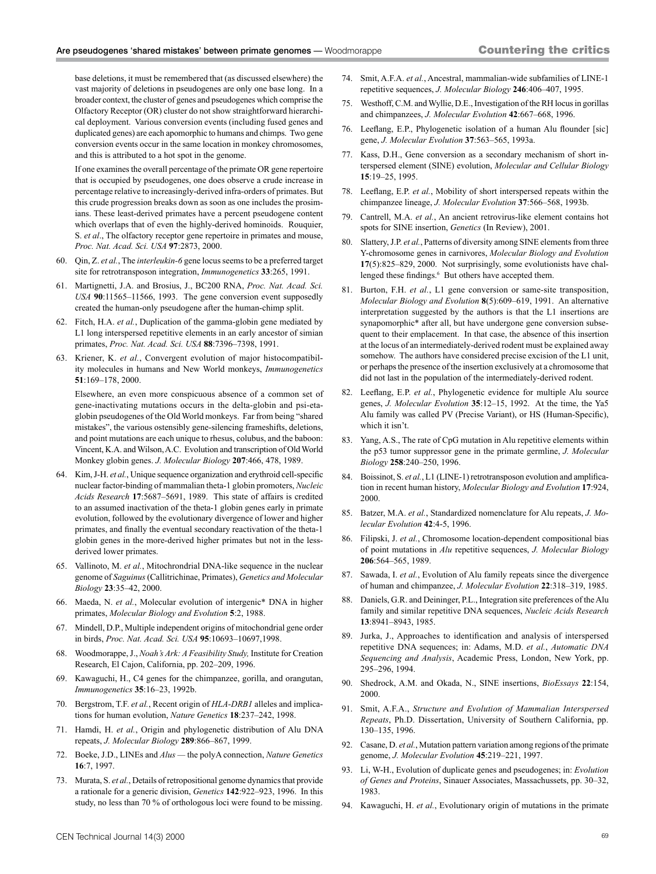base deletions, it must be remembered that (as discussed elsewhere) the vast majority of deletions in pseudogenes are only one base long. In a broader context, the cluster of genes and pseudogenes which comprise the Olfactory Receptor (OR) cluster do not show straightforward hierarchical deployment. Various conversion events (including fused genes and duplicated genes) are each apomorphic to humans and chimps. Two gene conversion events occur in the same location in monkey chromosomes, and this is attributed to a hot spot in the genome.

If one examines the overall percentage of the primate OR gene repertoire that is occupied by pseudogenes, one does observe a crude increase in percentage relative to increasingly-derived infra-orders of primates. But this crude progression breaks down as soon as one includes the prosimians. These least-derived primates have a percent pseudogene content which overlaps that of even the highly-derived hominoids. Rouquier, S. *et al*., The olfactory receptor gene repertoire in primates and mouse, *Proc. Nat. Acad. Sci. USA* **97**:2873, 2000.

- 60. Qin, Z. *et al.*, The *interleukin-6* gene locus seems to be a preferred target site for retrotransposon integration, *Immunogenetics* **33**:265, 1991.
- 61. Martignetti, J.A. and Brosius, J., BC200 RNA, *Proc. Nat. Acad. Sci. USA* **90**:11565–11566, 1993. The gene conversion event supposedly created the human-only pseudogene after the human-chimp split.
- 62. Fitch, H.A. *et al.*, Duplication of the gamma-globin gene mediated by L1 long interspersed repetitive elements in an early ancestor of simian primates, *Proc. Nat. Acad. Sci. USA* **88**:7396–7398, 1991.
- 63. Kriener, K. *et al.*, Convergent evolution of major histocompatibility molecules in humans and New World monkeys, *Immunogenetics* **51**:169–178, 2000.

Elsewhere, an even more conspicuous absence of a common set of gene-inactivating mutations occurs in the delta-globin and psi-etaglobin pseudogenes of the Old World monkeys. Far from being "shared mistakes", the various ostensibly gene-silencing frameshifts, deletions, and point mutations are each unique to rhesus, colubus, and the baboon: Vincent, K.A. and Wilson, A.C. Evolution and transcription of Old World Monkey globin genes. *J. Molecular Biology* **207**:466, 478, 1989.

- 64. Kim, J-H. *et al.*, Unique sequence organization and erythroid cell-specific nuclear factor-binding of mammalian theta-1 globin promoters, *Nucleic Acids Research* **17**:5687–5691, 1989. This state of affairs is credited to an assumed inactivation of the theta-1 globin genes early in primate evolution, followed by the evolutionary divergence of lower and higher primates, and finally the eventual secondary reactivation of the theta-1 globin genes in the more-derived higher primates but not in the lessderived lower primates.
- 65. Vallinoto, M. *et al.*, Mitochrondrial DNA-like sequence in the nuclear genome of *Saguinus* (Callitrichinae, Primates), *Genetics and Molecular Biology* **23**:35–42, 2000.
- 66. Maeda, N. *et al.*, Molecular evolution of intergenic\* DNA in higher primates, *Molecular Biology and Evolution* **5**:2, 1988.
- 67. Mindell, D.P., Multiple independent origins of mitochondrial gene order in birds, *Proc. Nat. Acad. Sci. USA* **95**:10693–10697,1998.
- 68. Woodmorappe, J., *Noah's Ark: A Feasibility Study,* Institute for Creation Research, El Cajon, California, pp. 202–209, 1996.
- 69. Kawaguchi, H., C4 genes for the chimpanzee, gorilla, and orangutan, *Immunogenetics* **35**:16–23, 1992b.
- 70. Bergstrom, T.F. *et al.*, Recent origin of *HLA-DRB1* alleles and implications for human evolution, *Nature Genetics* **18**:237–242, 1998.
- 71. Hamdi, H. *et al.*, Origin and phylogenetic distribution of Alu DNA repeats, *J. Molecular Biology* **289**:866–867, 1999.
- 72. Boeke, J.D., LINEs and *Alus* the polyA connection, *Nature Genetics* **16**:7, 1997.
- 73. Murata, S. *et al.*, Details of retropositional genome dynamics that provide a rationale for a generic division, *Genetics* **142**:922–923, 1996. In this study, no less than 70 % of orthologous loci were found to be missing.
- 74. Smit, A.F.A. *et al.*, Ancestral, mammalian-wide subfamilies of LINE-1 repetitive sequences, *J. Molecular Biology* **246**:406–407, 1995.
- 75. Westhoff, C.M. and Wyllie, D.E., Investigation of the RH locus in gorillas and chimpanzees, *J. Molecular Evolution* **42**:667–668, 1996.
- 76. Leeflang, E.P., Phylogenetic isolation of a human Alu flounder [sic] gene, *J. Molecular Evolution* **37**:563–565, 1993a.
- 77. Kass, D.H., Gene conversion as a secondary mechanism of short interspersed element (SINE) evolution, *Molecular and Cellular Biology* **15**:19–25, 1995.
- 78. Leeflang, E.P. *et al.*, Mobility of short interspersed repeats within the chimpanzee lineage, *J. Molecular Evolution* **37**:566–568, 1993b.
- 79. Cantrell, M.A. *et al.*, An ancient retrovirus-like element contains hot spots for SINE insertion, *Genetics* (In Review), 2001.
- 80. Slattery, J.P. *et al.*, Patterns of diversity among SINE elements from three Y-chromosome genes in carnivores, *Molecular Biology and Evolution* **17**(5):825–829, 2000. Not surprisingly, some evolutionists have challenged these findings.<sup>6</sup> But others have accepted them.
- 81. Burton, F.H. *et al.*, L1 gene conversion or same-site transposition, *Molecular Biology and Evolution* **8**(5):609–619, 1991. An alternative interpretation suggested by the authors is that the L1 insertions are synapomorphic\* after all, but have undergone gene conversion subsequent to their emplacement. In that case, the absence of this insertion at the locus of an intermediately-derived rodent must be explained away somehow. The authors have considered precise excision of the L1 unit, or perhaps the presence of the insertion exclusively at a chromosome that did not last in the population of the intermediately-derived rodent.
- 82. Leeflang, E.P. *et al.*, Phylogenetic evidence for multiple Alu source genes, *J. Molecular Evolution* **35**:12–15, 1992. At the time, the Ya5 Alu family was called PV (Precise Variant), or HS (Human-Specific), which it isn't.
- 83. Yang, A.S., The rate of CpG mutation in Alu repetitive elements within the p53 tumor suppressor gene in the primate germline, *J. Molecular Biology* **258**:240–250, 1996.
- 84. Boissinot, S. *et al.*, L1 (LINE-1) retrotransposon evolution and amplification in recent human history, *Molecular Biology and Evolution* **17**:924, 2000.
- 85. Batzer, M.A. *et al.*, Standardized nomenclature for Alu repeats, *J. Molecular Evolution* **42**:4-5, 1996.
- 86. Filipski, J. *et al.*, Chromosome location-dependent compositional bias of point mutations in *Alu* repetitive sequences, *J. Molecular Biology*  **206**:564–565, 1989.
- 87. Sawada, I. *et al.*, Evolution of Alu family repeats since the divergence of human and chimpanzee, *J. Molecular Evolution* **22**:318–319, 1985.
- 88. Daniels, G.R. and Deininger, P.L., Integration site preferences of the Alu family and similar repetitive DNA sequences, *Nucleic Acids Research* **13**:8941–8943, 1985.
- 89. Jurka, J., Approaches to identification and analysis of interspersed repetitive DNA sequences; in: Adams, M.D. *et al.*, *Automatic DNA Sequencing and Analysis*, Academic Press, London, New York, pp. 295–296, 1994.
- 90. Shedrock, A.M. and Okada, N., SINE insertions, *BioEssays* **22**:154, 2000.
- 91. Smit, A.F.A., *Structure and Evolution of Mammalian Interspersed Repeats*, Ph.D. Dissertation, University of Southern California, pp. 130–135, 1996.
- 92. Casane, D. *et al.*, Mutation pattern variation among regions of the primate genome, *J. Molecular Evolution* **45**:219–221, 1997.
- 93. Li, W-H., Evolution of duplicate genes and pseudogenes; in: *Evolution of Genes and Proteins*, Sinauer Associates, Massachussets, pp. 30–32, 1983.
- 94. Kawaguchi, H. *et al.*, Evolutionary origin of mutations in the primate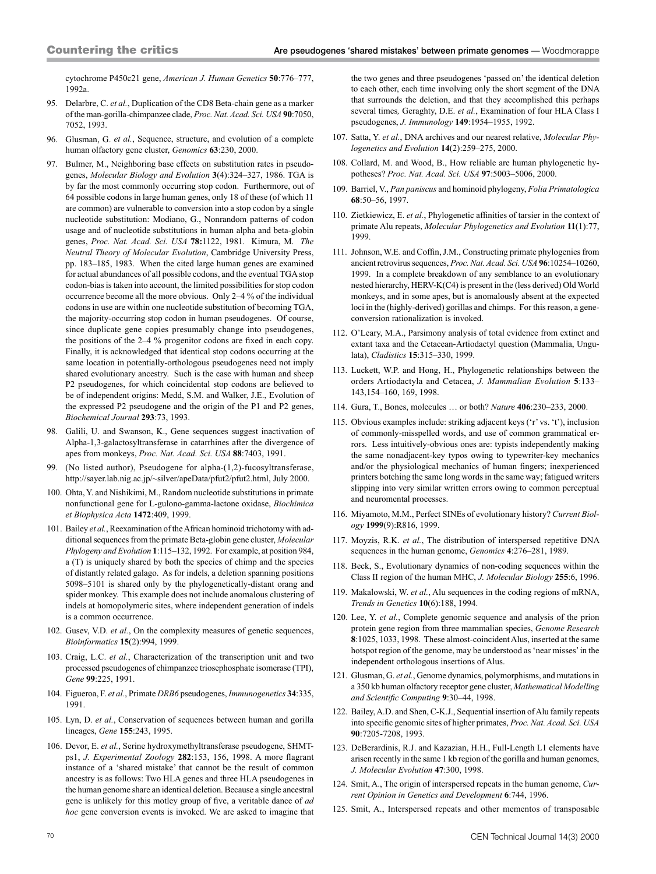cytochrome P450c21 gene, *American J. Human Genetics* **50**:776–777, 1992a.

- 95. Delarbre, C. *et al.*, Duplication of the CD8 Beta-chain gene as a marker of the man-gorilla-chimpanzee clade, *Proc. Nat. Acad. Sci. USA* **90**:7050, 7052, 1993.
- 96. Glusman, G. *et al.*, Sequence, structure, and evolution of a complete human olfactory gene cluster, *Genomics* **63**:230, 2000.
- 97. Bulmer, M., Neighboring base effects on substitution rates in pseudogenes, *Molecular Biology and Evolution* **3**(4):324–327, 1986. TGA is by far the most commonly occurring stop codon. Furthermore, out of 64 possible codons in large human genes, only 18 of these (of which 11 are common) are vulnerable to conversion into a stop codon by a single nucleotide substitution: Modiano, G., Nonrandom patterns of codon usage and of nucleotide substitutions in human alpha and beta-globin genes, *Proc. Nat. Acad. Sci. USA* **78:**1122, 1981. Kimura, M. *The Neutral Theory of Molecular Evolution*, Cambridge University Press, pp. 183–185, 1983. When the cited large human genes are examined for actual abundances of all possible codons, and the eventual TGA stop codon-bias is taken into account, the limited possibilities for stop codon occurrence become all the more obvious. Only 2–4 % of the individual codons in use are within one nucleotide substitution of becoming TGA, the majority-occurring stop codon in human pseudogenes. Of course, since duplicate gene copies presumably change into pseudogenes, the positions of the 2–4 % progenitor codons are fixed in each copy. Finally, it is acknowledged that identical stop codons occurring at the same location in potentially-orthologous pseudogenes need not imply shared evolutionary ancestry. Such is the case with human and sheep P2 pseudogenes, for which coincidental stop codons are believed to be of independent origins: Medd, S.M. and Walker, J.E., Evolution of the expressed P2 pseudogene and the origin of the P1 and P2 genes, *Biochemical Journal* **293**:73, 1993.
- 98. Galili, U. and Swanson, K., Gene sequences suggest inactivation of Alpha-1,3-galactosyltransferase in catarrhines after the divergence of apes from monkeys, *Proc. Nat. Acad. Sci. USA* **88**:7403, 1991.
- 99. (No listed author), Pseudogene for alpha-(1,2)-fucosyltransferase, http://sayer.lab.nig.ac.jp/~silver/apeData/pfut2/pfut2.html, July 2000.
- 100. Ohta, Y. and Nishikimi, M., Random nucleotide substitutions in primate nonfunctional gene for L-gulono-gamma-lactone oxidase, *Biochimica et Biophysica Acta* **1472**:409, 1999.
- 101. Bailey *et al.*, Reexamination of the African hominoid trichotomy with additional sequences from the primate Beta-globin gene cluster, *Molecular Phylogeny and Evolution* **1**:115–132, 1992. For example, at position 984, a (T) is uniquely shared by both the species of chimp and the species of distantly related galago. As for indels, a deletion spanning positions 5098–5101 is shared only by the phylogenetically-distant orang and spider monkey. This example does not include anomalous clustering of indels at homopolymeric sites, where independent generation of indels is a common occurrence.
- 102. Gusev, V.D. *et al.*, On the complexity measures of genetic sequences, *Bioinformatics* **15**(2):994, 1999.
- 103. Craig, L.C. *et al.*, Characterization of the transcription unit and two processed pseudogenes of chimpanzee triosephosphate isomerase (TPI), *Gene* **99**:225, 1991.
- 104. Figueroa, F. *et al.*, Primate *DRB6* pseudogenes, *Immunogenetics* **34**:335, 1991.
- 105. Lyn, D. *et al.*, Conservation of sequences between human and gorilla lineages, *Gene* **155**:243, 1995.
- 106. Devor, E. *et al.*, Serine hydroxymethyltransferase pseudogene, SHMTps1, *J. Experimental Zoology* **282**:153, 156, 1998. A more flagrant instance of a 'shared mistake' that cannot be the result of common ancestry is as follows: Two HLA genes and three HLA pseudogenes in the human genome share an identical deletion. Because a single ancestral gene is unlikely for this motley group of five, a veritable dance of *ad hoc* gene conversion events is invoked. We are asked to imagine that

the two genes and three pseudogenes 'passed on' the identical deletion to each other, each time involving only the short segment of the DNA that surrounds the deletion, and that they accomplished this perhaps several times*,* Geraghty, D.E. *et al.*, Examination of four HLA Class I pseudogenes, *J. Immunology* **149**:1954–1955, 1992.

- 107. Satta, Y. *et al.*, DNA archives and our nearest relative, *Molecular Phylogenetics and Evolution* **14**(2):259–275, 2000.
- 108. Collard, M. and Wood, B., How reliable are human phylogenetic hypotheses? *Proc. Nat. Acad. Sci. USA* **97**:5003–5006, 2000.
- 109. Barriel, V., *Pan paniscus* and hominoid phylogeny, *Folia Primatologica* **68**:50–56, 1997.
- 110. Zietkiewicz, E. *et al.*, Phylogenetic affinities of tarsier in the context of primate Alu repeats, *Molecular Phylogenetics and Evolution* **11**(1):77, 1999.
- 111. Johnson, W.E. and Coffin, J.M., Constructing primate phylogenies from ancient retrovirus sequences, *Proc. Nat. Acad. Sci. USA* **96**:10254–10260, 1999. In a complete breakdown of any semblance to an evolutionary nested hierarchy, HERV-K(C4) is present in the (less derived) Old World monkeys, and in some apes, but is anomalously absent at the expected loci in the (highly-derived) gorillas and chimps. For this reason, a geneconversion rationalization is invoked.
- 112. O'Leary, M.A., Parsimony analysis of total evidence from extinct and extant taxa and the Cetacean-Artiodactyl question (Mammalia, Ungulata), *Cladistics* **15**:315–330, 1999.
- 113. Luckett, W.P. and Hong, H., Phylogenetic relationships between the orders Artiodactyla and Cetacea, *J. Mammalian Evolution* **5**:133– 143,154–160, 169, 1998.
- 114. Gura, T., Bones, molecules … or both? *Nature* **406**:230–233, 2000.
- 115. Obvious examples include: striking adjacent keys ('r' vs. 't'), inclusion of commonly-misspelled words, and use of common grammatical errors. Less intuitively-obvious ones are: typists independently making the same nonadjacent-key typos owing to typewriter-key mechanics and/or the physiological mechanics of human fingers; inexperienced printers botching the same long words in the same way; fatigued writers slipping into very similar written errors owing to common perceptual and neuromental processes.
- 116. Miyamoto, M.M., Perfect SINEs of evolutionary history? *Current Biology* **1999**(9):R816, 1999.
- 117. Moyzis, R.K. *et al.*, The distribution of interspersed repetitive DNA sequences in the human genome, *Genomics* **4**:276–281, 1989.
- 118. Beck, S., Evolutionary dynamics of non-coding sequences within the Class II region of the human MHC, *J. Molecular Biology* **255**:6, 1996.
- 119. Makalowski, W. *et al.*, Alu sequences in the coding regions of mRNA, *Trends in Genetics* **10**(6):188, 1994.
- 120. Lee, Y. *et al.*, Complete genomic sequence and analysis of the prion protein gene region from three mammalian species, *Genome Research* **8**:1025, 1033, 1998. These almost-coincident Alus, inserted at the same hotspot region of the genome, may be understood as 'near misses' in the independent orthologous insertions of Alus.
- 121. Glusman, G. *et al.*, Genome dynamics, polymorphisms, and mutations in a 350 kb human olfactory receptor gene cluster, *Mathematical Modelling and Scientific Computing* **9**:30–44, 1998.
- 122. Bailey, A.D. and Shen, C-K.J., Sequential insertion of Alu family repeats into specific genomic sites of higher primates, *Proc. Nat. Acad. Sci. USA* **90**:7205-7208, 1993.
- 123. DeBerardinis, R.J. and Kazazian, H.H., Full-Length L1 elements have arisen recently in the same 1 kb region of the gorilla and human genomes, *J. Molecular Evolution* **47**:300, 1998.
- 124. Smit, A., The origin of interspersed repeats in the human genome, *Current Opinion in Genetics and Development* **6**:744, 1996.
- 125. Smit, A., Interspersed repeats and other mementos of transposable